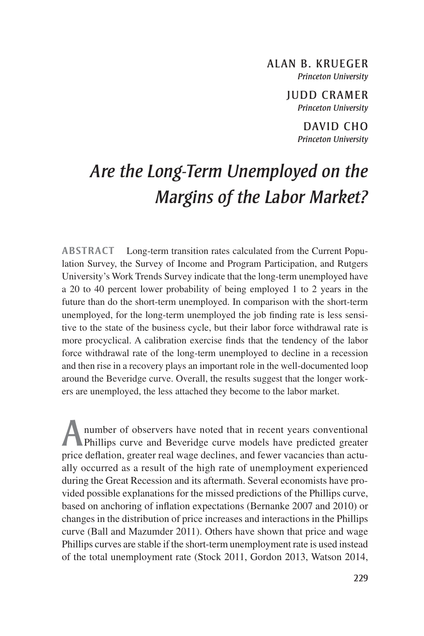Alan B. Krueger *Princeton University*

> Judd Cramer *Princeton University*

> > DAVID CHO *Princeton University*

# *Are the Long-Term Unemployed on the Margins of the Labor Market?*

**ABSTRACT** Long-term transition rates calculated from the Current Population Survey, the Survey of Income and Program Participation, and Rutgers University's Work Trends Survey indicate that the long-term unemployed have a 20 to 40 percent lower probability of being employed 1 to 2 years in the future than do the short-term unemployed. In comparison with the short-term unemployed, for the long-term unemployed the job finding rate is less sensitive to the state of the business cycle, but their labor force withdrawal rate is more procyclical. A calibration exercise finds that the tendency of the labor force withdrawal rate of the long-term unemployed to decline in a recession and then rise in a recovery plays an important role in the well-documented loop around the Beveridge curve. Overall, the results suggest that the longer workers are unemployed, the less attached they become to the labor market.

number of observers have noted that in recent years conventional Phillips curve and Beveridge curve models have predicted greater price deflation, greater real wage declines, and fewer vacancies than actually occurred as a result of the high rate of unemployment experienced during the Great Recession and its aftermath. Several economists have provided possible explanations for the missed predictions of the Phillips curve, based on anchoring of inflation expectations (Bernanke 2007 and 2010) or changes in the distribution of price increases and interactions in the Phillips curve (Ball and Mazumder 2011). Others have shown that price and wage Phillips curves are stable if the short-term unemployment rate is used instead of the total unemployment rate (Stock 2011, Gordon 2013, Watson 2014,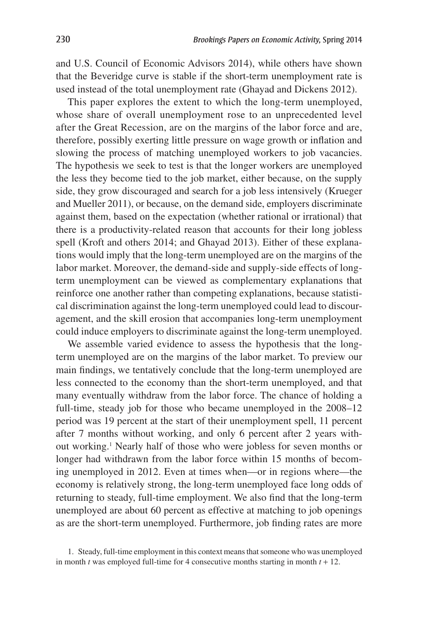and U.S. Council of Economic Advisors 2014), while others have shown that the Beveridge curve is stable if the short-term unemployment rate is used instead of the total unemployment rate (Ghayad and Dickens 2012).

This paper explores the extent to which the long-term unemployed, whose share of overall unemployment rose to an unprecedented level after the Great Recession, are on the margins of the labor force and are, therefore, possibly exerting little pressure on wage growth or inflation and slowing the process of matching unemployed workers to job vacancies. The hypothesis we seek to test is that the longer workers are unemployed the less they become tied to the job market, either because, on the supply side, they grow discouraged and search for a job less intensively (Krueger and Mueller 2011), or because, on the demand side, employers discriminate against them, based on the expectation (whether rational or irrational) that there is a productivity-related reason that accounts for their long jobless spell (Kroft and others 2014; and Ghayad 2013). Either of these explanations would imply that the long-term unemployed are on the margins of the labor market. Moreover, the demand-side and supply-side effects of longterm unemployment can be viewed as complementary explanations that reinforce one another rather than competing explanations, because statistical discrimination against the long-term unemployed could lead to discouragement, and the skill erosion that accompanies long-term unemployment could induce employers to discriminate against the long-term unemployed.

We assemble varied evidence to assess the hypothesis that the longterm unemployed are on the margins of the labor market. To preview our main findings, we tentatively conclude that the long-term unemployed are less connected to the economy than the short-term unemployed, and that many eventually withdraw from the labor force. The chance of holding a full-time, steady job for those who became unemployed in the 2008–12 period was 19 percent at the start of their unemployment spell, 11 percent after 7 months without working, and only 6 percent after 2 years without working.1 Nearly half of those who were jobless for seven months or longer had withdrawn from the labor force within 15 months of becoming unemployed in 2012. Even at times when—or in regions where—the economy is relatively strong, the long-term unemployed face long odds of returning to steady, full-time employment. We also find that the long-term unemployed are about 60 percent as effective at matching to job openings as are the short-term unemployed. Furthermore, job finding rates are more

1. Steady, full-time employment in this context means that someone who was unemployed in month *t* was employed full-time for 4 consecutive months starting in month  $t + 12$ .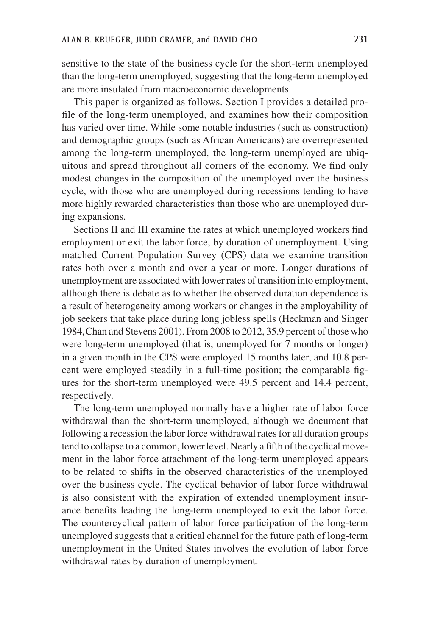sensitive to the state of the business cycle for the short-term unemployed than the long-term unemployed, suggesting that the long-term unemployed are more insulated from macroeconomic developments.

This paper is organized as follows. Section I provides a detailed profile of the long-term unemployed, and examines how their composition has varied over time. While some notable industries (such as construction) and demographic groups (such as African Americans) are overrepresented among the long-term unemployed, the long-term unemployed are ubiquitous and spread throughout all corners of the economy. We find only modest changes in the composition of the unemployed over the business cycle, with those who are unemployed during recessions tending to have more highly rewarded characteristics than those who are unemployed during expansions.

Sections II and III examine the rates at which unemployed workers find employment or exit the labor force, by duration of unemployment. Using matched Current Population Survey (CPS) data we examine transition rates both over a month and over a year or more. Longer durations of unemployment are associated with lower rates of transition into employment, although there is debate as to whether the observed duration dependence is a result of heterogeneity among workers or changes in the employability of job seekers that take place during long jobless spells (Heckman and Singer 1984,Chan and Stevens 2001). From 2008 to 2012, 35.9 percent of those who were long-term unemployed (that is, unemployed for 7 months or longer) in a given month in the CPS were employed 15 months later, and 10.8 percent were employed steadily in a full-time position; the comparable figures for the short-term unemployed were 49.5 percent and 14.4 percent, respectively.

The long-term unemployed normally have a higher rate of labor force withdrawal than the short-term unemployed, although we document that following a recession the labor force withdrawal rates for all duration groups tend to collapse to a common, lower level. Nearly a fifth of the cyclical movement in the labor force attachment of the long-term unemployed appears to be related to shifts in the observed characteristics of the unemployed over the business cycle. The cyclical behavior of labor force withdrawal is also consistent with the expiration of extended unemployment insurance benefits leading the long-term unemployed to exit the labor force. The countercyclical pattern of labor force participation of the long-term unemployed suggests that a critical channel for the future path of long-term unemployment in the United States involves the evolution of labor force withdrawal rates by duration of unemployment.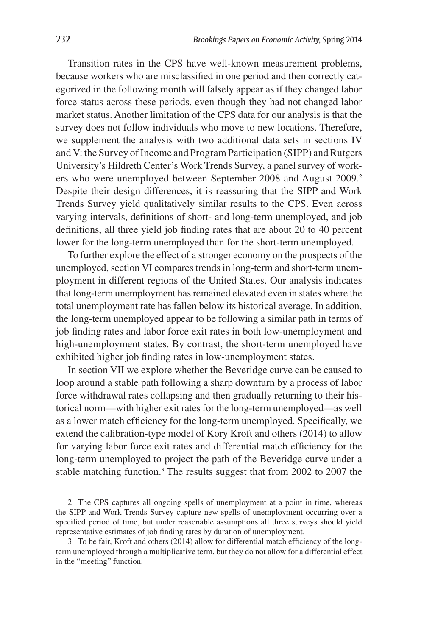Transition rates in the CPS have well-known measurement problems, because workers who are misclassified in one period and then correctly categorized in the following month will falsely appear as if they changed labor force status across these periods, even though they had not changed labor market status. Another limitation of the CPS data for our analysis is that the survey does not follow individuals who move to new locations. Therefore, we supplement the analysis with two additional data sets in sections IV and V: the Survey of Income and Program Participation (SIPP) and Rutgers University's Hildreth Center's Work Trends Survey, a panel survey of workers who were unemployed between September 2008 and August 2009.<sup>2</sup> Despite their design differences, it is reassuring that the SIPP and Work Trends Survey yield qualitatively similar results to the CPS. Even across varying intervals, definitions of short- and long-term unemployed, and job definitions, all three yield job finding rates that are about 20 to 40 percent lower for the long-term unemployed than for the short-term unemployed.

To further explore the effect of a stronger economy on the prospects of the unemployed, section VI compares trends in long-term and short-term unemployment in different regions of the United States. Our analysis indicates that long-term unemployment has remained elevated even in states where the total unemployment rate has fallen below its historical average. In addition, the long-term unemployed appear to be following a similar path in terms of job finding rates and labor force exit rates in both low-unemployment and high-unemployment states. By contrast, the short-term unemployed have exhibited higher job finding rates in low-unemployment states.

In section VII we explore whether the Beveridge curve can be caused to loop around a stable path following a sharp downturn by a process of labor force withdrawal rates collapsing and then gradually returning to their historical norm—with higher exit rates for the long-term unemployed—as well as a lower match efficiency for the long-term unemployed. Specifically, we extend the calibration-type model of Kory Kroft and others (2014) to allow for varying labor force exit rates and differential match efficiency for the long-term unemployed to project the path of the Beveridge curve under a stable matching function.<sup>3</sup> The results suggest that from 2002 to 2007 the

2. The CPS captures all ongoing spells of unemployment at a point in time, whereas the SIPP and Work Trends Survey capture new spells of unemployment occurring over a specified period of time, but under reasonable assumptions all three surveys should yield representative estimates of job finding rates by duration of unemployment.

3. To be fair, Kroft and others (2014) allow for differential match efficiency of the longterm unemployed through a multiplicative term, but they do not allow for a differential effect in the "meeting" function.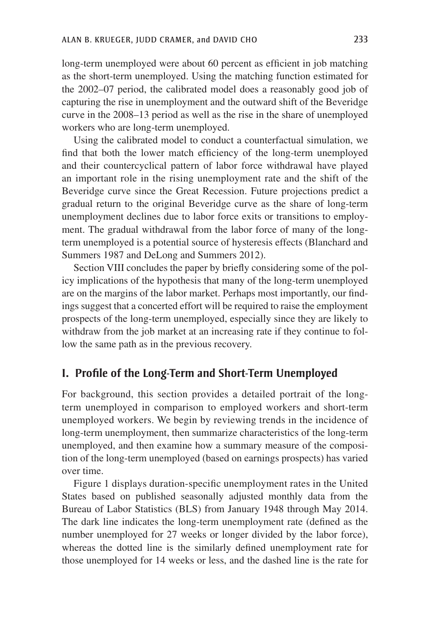long-term unemployed were about 60 percent as efficient in job matching as the short-term unemployed. Using the matching function estimated for the 2002–07 period, the calibrated model does a reasonably good job of capturing the rise in unemployment and the outward shift of the Beveridge curve in the 2008–13 period as well as the rise in the share of unemployed workers who are long-term unemployed.

Using the calibrated model to conduct a counterfactual simulation, we find that both the lower match efficiency of the long-term unemployed and their countercyclical pattern of labor force withdrawal have played an important role in the rising unemployment rate and the shift of the Beveridge curve since the Great Recession. Future projections predict a gradual return to the original Beveridge curve as the share of long-term unemployment declines due to labor force exits or transitions to employment. The gradual withdrawal from the labor force of many of the longterm unemployed is a potential source of hysteresis effects (Blanchard and Summers 1987 and DeLong and Summers 2012).

Section VIII concludes the paper by briefly considering some of the policy implications of the hypothesis that many of the long-term unemployed are on the margins of the labor market. Perhaps most importantly, our findings suggest that a concerted effort will be required to raise the employment prospects of the long-term unemployed, especially since they are likely to withdraw from the job market at an increasing rate if they continue to follow the same path as in the previous recovery.

## **I. Profile of the Long-Term and Short-Term Unemployed**

For background, this section provides a detailed portrait of the longterm unemployed in comparison to employed workers and short-term unemployed workers. We begin by reviewing trends in the incidence of long-term unemployment, then summarize characteristics of the long-term unemployed, and then examine how a summary measure of the composition of the long-term unemployed (based on earnings prospects) has varied over time.

Figure 1 displays duration-specific unemployment rates in the United States based on published seasonally adjusted monthly data from the Bureau of Labor Statistics (BLS) from January 1948 through May 2014. The dark line indicates the long-term unemployment rate (defined as the number unemployed for 27 weeks or longer divided by the labor force), whereas the dotted line is the similarly defined unemployment rate for those unemployed for 14 weeks or less, and the dashed line is the rate for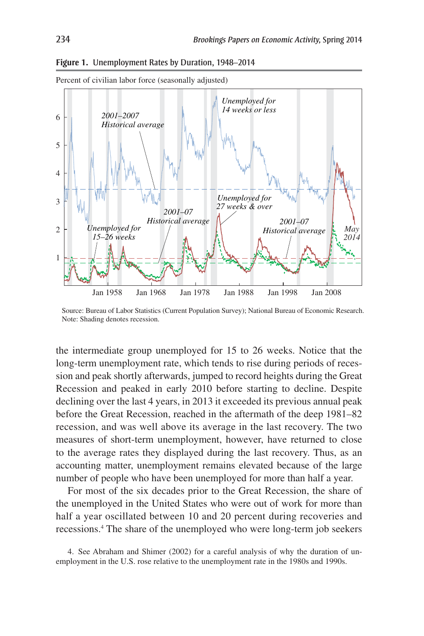

**Figure 1.** Unemployment Rates by Duration, 1948–2014

Percent of civilian labor force (seasonally adjusted)

Source: Bureau of Labor Statistics (Current Population Survey); National Bureau of Economic Research. Note: Shading denotes recession.

the intermediate group unemployed for 15 to 26 weeks. Notice that the long-term unemployment rate, which tends to rise during periods of recession and peak shortly afterwards, jumped to record heights during the Great Recession and peaked in early 2010 before starting to decline. Despite declining over the last 4 years, in 2013 it exceeded its previous annual peak before the Great Recession, reached in the aftermath of the deep 1981–82 recession, and was well above its average in the last recovery. The two measures of short-term unemployment, however, have returned to close to the average rates they displayed during the last recovery. Thus, as an accounting matter, unemployment remains elevated because of the large number of people who have been unemployed for more than half a year.

For most of the six decades prior to the Great Recession, the share of the unemployed in the United States who were out of work for more than half a year oscillated between 10 and 20 percent during recoveries and recessions.4 The share of the unemployed who were long-term job seekers

4. See Abraham and Shimer (2002) for a careful analysis of why the duration of unemployment in the U.S. rose relative to the unemployment rate in the 1980s and 1990s.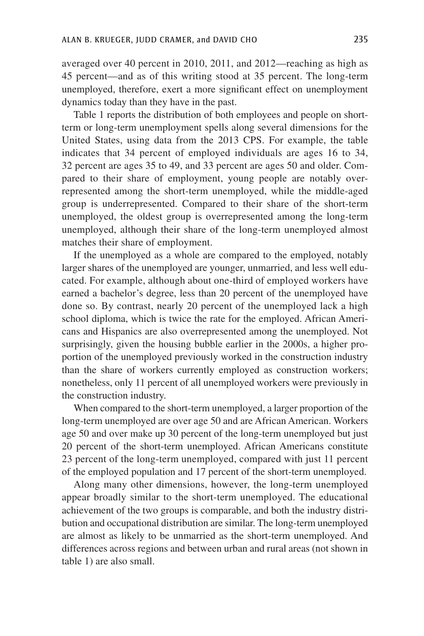averaged over 40 percent in 2010, 2011, and 2012—reaching as high as 45 percent—and as of this writing stood at 35 percent. The long-term unemployed, therefore, exert a more significant effect on unemployment dynamics today than they have in the past.

Table 1 reports the distribution of both employees and people on shortterm or long-term unemployment spells along several dimensions for the United States, using data from the 2013 CPS. For example, the table indicates that 34 percent of employed individuals are ages 16 to 34, 32 percent are ages 35 to 49, and 33 percent are ages 50 and older. Compared to their share of employment, young people are notably overrepresented among the short-term unemployed, while the middle-aged group is underrepresented. Compared to their share of the short-term unemployed, the oldest group is overrepresented among the long-term unemployed, although their share of the long-term unemployed almost matches their share of employment.

If the unemployed as a whole are compared to the employed, notably larger shares of the unemployed are younger, unmarried, and less well educated. For example, although about one-third of employed workers have earned a bachelor's degree, less than 20 percent of the unemployed have done so. By contrast, nearly 20 percent of the unemployed lack a high school diploma, which is twice the rate for the employed. African Americans and Hispanics are also overrepresented among the unemployed. Not surprisingly, given the housing bubble earlier in the 2000s, a higher proportion of the unemployed previously worked in the construction industry than the share of workers currently employed as construction workers; nonetheless, only 11 percent of all unemployed workers were previously in the construction industry.

When compared to the short-term unemployed, a larger proportion of the long-term unemployed are over age 50 and are African American. Workers age 50 and over make up 30 percent of the long-term unemployed but just 20 percent of the short-term unemployed. African Americans constitute 23 percent of the long-term unemployed, compared with just 11 percent of the employed population and 17 percent of the short-term unemployed.

Along many other dimensions, however, the long-term unemployed appear broadly similar to the short-term unemployed. The educational achievement of the two groups is comparable, and both the industry distribution and occupational distribution are similar. The long-term unemployed are almost as likely to be unmarried as the short-term unemployed. And differences across regions and between urban and rural areas (not shown in table 1) are also small.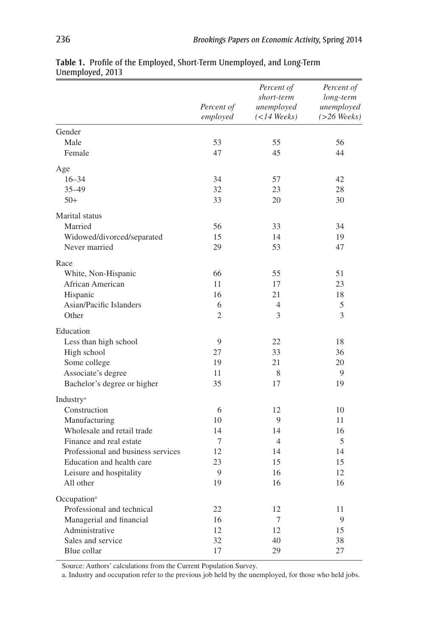|                                    | Percent of<br>employed | Percent of<br>short-term<br>unemployed<br>$(<$ 14 Weeks) | Percent of<br>long-term<br>unemployed<br>$(>26$ Weeks) |
|------------------------------------|------------------------|----------------------------------------------------------|--------------------------------------------------------|
| Gender                             |                        |                                                          |                                                        |
| Male                               | 53                     | 55                                                       | 56                                                     |
| Female                             | 47                     | 45                                                       | 44                                                     |
|                                    |                        |                                                          |                                                        |
| Age<br>$16 - 34$                   | 34                     | 57                                                       | 42                                                     |
|                                    | 32                     | 23                                                       | 28                                                     |
| 35-49                              |                        |                                                          |                                                        |
| $50+$                              | 33                     | 20                                                       | 30                                                     |
| Marital status                     |                        |                                                          |                                                        |
| Married                            | 56                     | 33                                                       | 34                                                     |
| Widowed/divorced/separated         | 15                     | 14                                                       | 19                                                     |
| Never married                      | 29                     | 53                                                       | 47                                                     |
| Race                               |                        |                                                          |                                                        |
| White, Non-Hispanic                | 66                     | 55                                                       | 51                                                     |
| African American                   | 11                     | 17                                                       | 23                                                     |
| Hispanic                           | 16                     | 21                                                       | 18                                                     |
| Asian/Pacific Islanders            | 6                      | $\overline{4}$                                           | 5                                                      |
| Other                              | $\overline{2}$         | 3                                                        | 3                                                      |
| Education                          |                        |                                                          |                                                        |
| Less than high school              | 9                      | 22                                                       | 18                                                     |
| High school                        | 27                     | 33                                                       | 36                                                     |
| Some college                       | 19                     | 21                                                       | 20                                                     |
| Associate's degree                 | 11                     | 8                                                        | 9                                                      |
| Bachelor's degree or higher        | 35                     | 17                                                       | 19                                                     |
| <b>Industry</b> <sup>a</sup>       |                        |                                                          |                                                        |
| Construction                       | 6                      | 12                                                       | 10                                                     |
| Manufacturing                      | 10                     | 9                                                        | 11                                                     |
| Wholesale and retail trade         | 14                     | 14                                                       | 16                                                     |
| Finance and real estate            | $\tau$                 | $\overline{4}$                                           | 5                                                      |
| Professional and business services | 12                     | 14                                                       | 14                                                     |
|                                    | 23                     |                                                          |                                                        |
| Education and health care          |                        | 15                                                       | 15                                                     |
| Leisure and hospitality            | 9                      | 16                                                       | 12                                                     |
| All other                          | 19                     | 16                                                       | 16                                                     |
| Occupation <sup>a</sup>            |                        |                                                          |                                                        |
| Professional and technical         | 22                     | 12                                                       | 11                                                     |
| Managerial and financial           | 16                     | 7                                                        | 9                                                      |
| Administrative                     | 12                     | 12                                                       | 15                                                     |
| Sales and service                  | 32                     | 40                                                       | 38                                                     |
| Blue collar                        | 17                     | 29                                                       | 27                                                     |

|                  |  | Table 1. Profile of the Employed, Short-Term Unemployed, and Long-Term |
|------------------|--|------------------------------------------------------------------------|
| Unemployed, 2013 |  |                                                                        |

Source: Authors' calculations from the Current Population Survey.

a. Industry and occupation refer to the previous job held by the unemployed, for those who held jobs.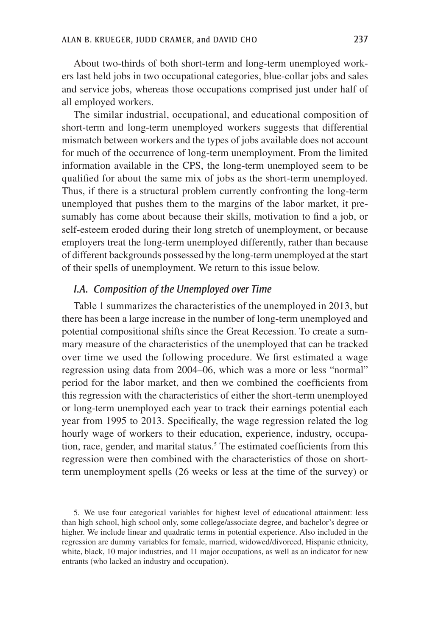About two-thirds of both short-term and long-term unemployed workers last held jobs in two occupational categories, blue-collar jobs and sales and service jobs, whereas those occupations comprised just under half of all employed workers.

The similar industrial, occupational, and educational composition of short-term and long-term unemployed workers suggests that differential mismatch between workers and the types of jobs available does not account for much of the occurrence of long-term unemployment. From the limited information available in the CPS, the long-term unemployed seem to be qualified for about the same mix of jobs as the short-term unemployed. Thus, if there is a structural problem currently confronting the long-term unemployed that pushes them to the margins of the labor market, it presumably has come about because their skills, motivation to find a job, or self-esteem eroded during their long stretch of unemployment, or because employers treat the long-term unemployed differently, rather than because of different backgrounds possessed by the long-term unemployed at the start of their spells of unemployment. We return to this issue below.

#### *I.A. Composition of the Unemployed over Time*

Table 1 summarizes the characteristics of the unemployed in 2013, but there has been a large increase in the number of long-term unemployed and potential compositional shifts since the Great Recession. To create a summary measure of the characteristics of the unemployed that can be tracked over time we used the following procedure. We first estimated a wage regression using data from 2004–06, which was a more or less "normal" period for the labor market, and then we combined the coefficients from this regression with the characteristics of either the short-term unemployed or long-term unemployed each year to track their earnings potential each year from 1995 to 2013. Specifically, the wage regression related the log hourly wage of workers to their education, experience, industry, occupation, race, gender, and marital status.<sup>5</sup> The estimated coefficients from this regression were then combined with the characteristics of those on shortterm unemployment spells (26 weeks or less at the time of the survey) or

5. We use four categorical variables for highest level of educational attainment: less than high school, high school only, some college/associate degree, and bachelor's degree or higher. We include linear and quadratic terms in potential experience. Also included in the regression are dummy variables for female, married, widowed/divorced, Hispanic ethnicity, white, black, 10 major industries, and 11 major occupations, as well as an indicator for new entrants (who lacked an industry and occupation).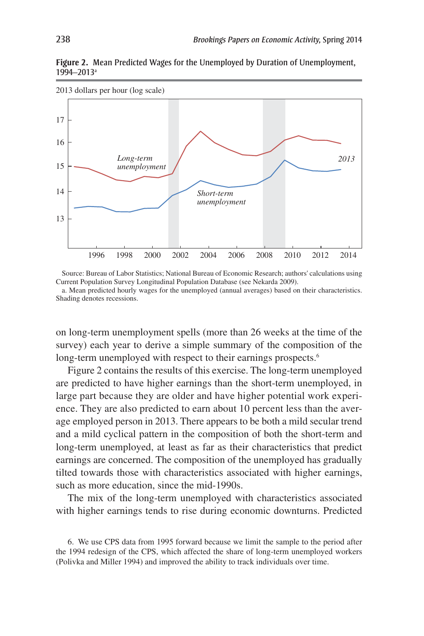

**Figure 2.** Mean Predicted Wages for the Unemployed by Duration of Unemployment, 1994–2013a

Source: Bureau of Labor Statistics; National Bureau of Economic Research; authors' calculations using Current Population Survey Longitudinal Population Database (see Nekarda 2009).

a. Mean predicted hourly wages for the unemployed (annual averages) based on their characteristics. Shading denotes recessions.

on long-term unemployment spells (more than 26 weeks at the time of the survey) each year to derive a simple summary of the composition of the long-term unemployed with respect to their earnings prospects.<sup>6</sup>

Figure 2 contains the results of this exercise. The long-term unemployed are predicted to have higher earnings than the short-term unemployed, in large part because they are older and have higher potential work experience. They are also predicted to earn about 10 percent less than the average employed person in 2013. There appears to be both a mild secular trend and a mild cyclical pattern in the composition of both the short-term and long-term unemployed, at least as far as their characteristics that predict earnings are concerned. The composition of the unemployed has gradually tilted towards those with characteristics associated with higher earnings, such as more education, since the mid-1990s.

The mix of the long-term unemployed with characteristics associated with higher earnings tends to rise during economic downturns. Predicted

<sup>6.</sup> We use CPS data from 1995 forward because we limit the sample to the period after the 1994 redesign of the CPS, which affected the share of long-term unemployed workers (Polivka and Miller 1994) and improved the ability to track individuals over time.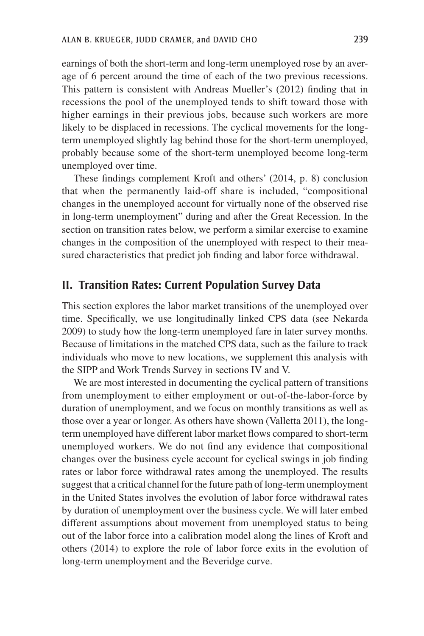earnings of both the short-term and long-term unemployed rose by an average of 6 percent around the time of each of the two previous recessions. This pattern is consistent with Andreas Mueller's (2012) finding that in recessions the pool of the unemployed tends to shift toward those with higher earnings in their previous jobs, because such workers are more likely to be displaced in recessions. The cyclical movements for the longterm unemployed slightly lag behind those for the short-term unemployed, probably because some of the short-term unemployed become long-term unemployed over time.

These findings complement Kroft and others' (2014, p. 8) conclusion that when the permanently laid-off share is included, "compositional changes in the unemployed account for virtually none of the observed rise in long-term unemployment" during and after the Great Recession. In the section on transition rates below, we perform a similar exercise to examine changes in the composition of the unemployed with respect to their measured characteristics that predict job finding and labor force withdrawal.

#### **II. Transition Rates: Current Population Survey Data**

This section explores the labor market transitions of the unemployed over time. Specifically, we use longitudinally linked CPS data (see Nekarda 2009) to study how the long-term unemployed fare in later survey months. Because of limitations in the matched CPS data, such as the failure to track individuals who move to new locations, we supplement this analysis with the SIPP and Work Trends Survey in sections IV and V.

We are most interested in documenting the cyclical pattern of transitions from unemployment to either employment or out-of-the-labor-force by duration of unemployment, and we focus on monthly transitions as well as those over a year or longer. As others have shown (Valletta 2011), the longterm unemployed have different labor market flows compared to short-term unemployed workers. We do not find any evidence that compositional changes over the business cycle account for cyclical swings in job finding rates or labor force withdrawal rates among the unemployed. The results suggest that a critical channel for the future path of long-term unemployment in the United States involves the evolution of labor force withdrawal rates by duration of unemployment over the business cycle. We will later embed different assumptions about movement from unemployed status to being out of the labor force into a calibration model along the lines of Kroft and others (2014) to explore the role of labor force exits in the evolution of long-term unemployment and the Beveridge curve.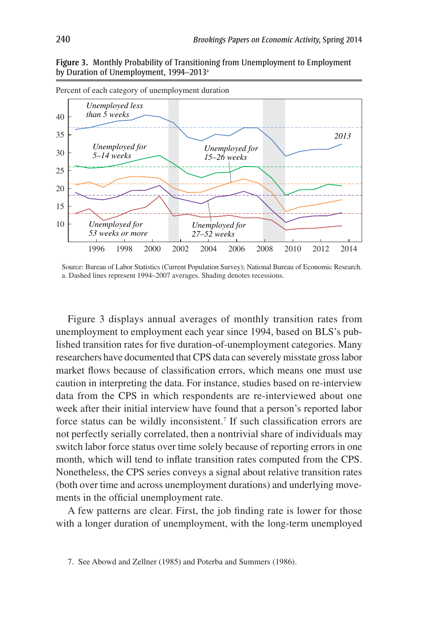**Figure 3.** Monthly Probability of Transitioning from Unemployment to Employment by Duration of Unemployment, 1994–2013<sup>a</sup>



Source: Bureau of Labor Statistics (Current Population Survey); National Bureau of Economic Research. a. Dashed lines represent 1994–2007 averages. Shading denotes recessions.

Figure 3 displays annual averages of monthly transition rates from unemployment to employment each year since 1994, based on BLS's published transition rates for five duration-of-unemployment categories. Many researchers have documented that CPS data can severely misstate gross labor market flows because of classification errors, which means one must use caution in interpreting the data. For instance, studies based on re-interview data from the CPS in which respondents are re-interviewed about one week after their initial interview have found that a person's reported labor force status can be wildly inconsistent.<sup>7</sup> If such classification errors are not perfectly serially correlated, then a nontrivial share of individuals may switch labor force status over time solely because of reporting errors in one month, which will tend to inflate transition rates computed from the CPS. Nonetheless, the CPS series conveys a signal about relative transition rates (both over time and across unemployment durations) and underlying movements in the official unemployment rate.

A few patterns are clear. First, the job finding rate is lower for those with a longer duration of unemployment, with the long-term unemployed

<sup>7.</sup> See Abowd and Zellner (1985) and Poterba and Summers (1986).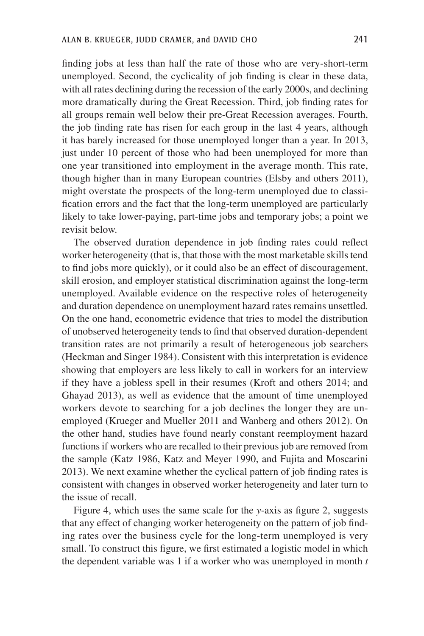finding jobs at less than half the rate of those who are very-short-term unemployed. Second, the cyclicality of job finding is clear in these data, with all rates declining during the recession of the early 2000s, and declining more dramatically during the Great Recession. Third, job finding rates for all groups remain well below their pre-Great Recession averages. Fourth, the job finding rate has risen for each group in the last 4 years, although it has barely increased for those unemployed longer than a year. In 2013, just under 10 percent of those who had been unemployed for more than one year transitioned into employment in the average month. This rate, though higher than in many European countries (Elsby and others 2011), might overstate the prospects of the long-term unemployed due to classification errors and the fact that the long-term unemployed are particularly likely to take lower-paying, part-time jobs and temporary jobs; a point we revisit below.

The observed duration dependence in job finding rates could reflect worker heterogeneity (that is, that those with the most marketable skills tend to find jobs more quickly), or it could also be an effect of discouragement, skill erosion, and employer statistical discrimination against the long-term unemployed. Available evidence on the respective roles of heterogeneity and duration dependence on unemployment hazard rates remains unsettled. On the one hand, econometric evidence that tries to model the distribution of unobserved heterogeneity tends to find that observed duration-dependent transition rates are not primarily a result of heterogeneous job searchers (Heckman and Singer 1984). Consistent with this interpretation is evidence showing that employers are less likely to call in workers for an interview if they have a jobless spell in their resumes (Kroft and others 2014; and Ghayad 2013), as well as evidence that the amount of time unemployed workers devote to searching for a job declines the longer they are unemployed (Krueger and Mueller 2011 and Wanberg and others 2012). On the other hand, studies have found nearly constant reemployment hazard functions if workers who are recalled to their previous job are removed from the sample (Katz 1986, Katz and Meyer 1990, and Fujita and Moscarini 2013). We next examine whether the cyclical pattern of job finding rates is consistent with changes in observed worker heterogeneity and later turn to the issue of recall.

Figure 4, which uses the same scale for the *y*-axis as figure 2, suggests that any effect of changing worker heterogeneity on the pattern of job finding rates over the business cycle for the long-term unemployed is very small. To construct this figure, we first estimated a logistic model in which the dependent variable was 1 if a worker who was unemployed in month *t*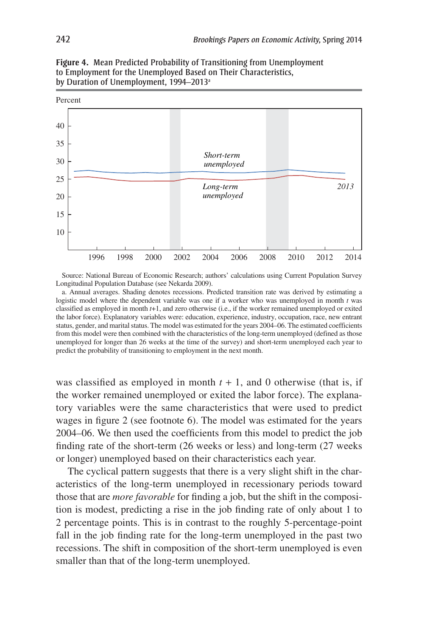

**Figure 4.** Mean Predicted Probability of Transitioning from Unemployment to Employment for the Unemployed Based on Their Characteristics, by Duration of Unemployment, 1994–2013a

Source: National Bureau of Economic Research; authors' calculations using Current Population Survey Longitudinal Population Database (see Nekarda 2009).

a. Annual averages. Shading denotes recessions. Predicted transition rate was derived by estimating a logistic model where the dependent variable was one if a worker who was unemployed in month *t* was classified as employed in month *t*+1, and zero otherwise (i.e., if the worker remained unemployed or exited the labor force). Explanatory variables were: education, experience, industry, occupation, race, new entrant status, gender, and marital status. The model was estimated for the years 2004–06. The estimated coefficients from this model were then combined with the characteristics of the long-term unemployed (defined as those unemployed for longer than 26 weeks at the time of the survey) and short-term unemployed each year to predict the probability of transitioning to employment in the next month.

was classified as employed in month  $t + 1$ , and 0 otherwise (that is, if the worker remained unemployed or exited the labor force). The explanatory variables were the same characteristics that were used to predict wages in figure 2 (see footnote 6). The model was estimated for the years 2004–06. We then used the coefficients from this model to predict the job finding rate of the short-term (26 weeks or less) and long-term (27 weeks or longer) unemployed based on their characteristics each year.

The cyclical pattern suggests that there is a very slight shift in the characteristics of the long-term unemployed in recessionary periods toward those that are *more favorable* for finding a job, but the shift in the composition is modest, predicting a rise in the job finding rate of only about 1 to 2 percentage points. This is in contrast to the roughly 5-percentage-point fall in the job finding rate for the long-term unemployed in the past two recessions. The shift in composition of the short-term unemployed is even smaller than that of the long-term unemployed.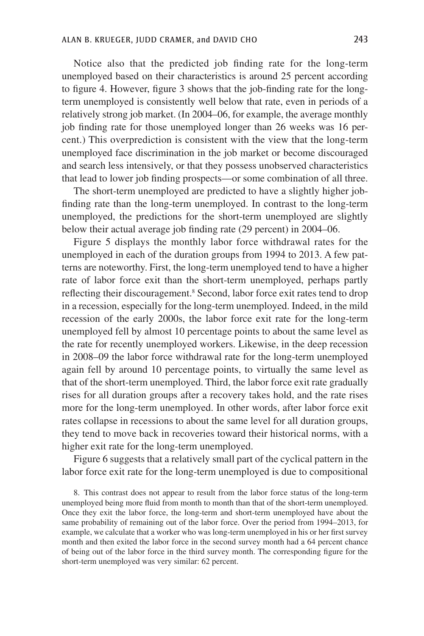Notice also that the predicted job finding rate for the long-term unemployed based on their characteristics is around 25 percent according to figure 4. However, figure 3 shows that the job-finding rate for the longterm unemployed is consistently well below that rate, even in periods of a relatively strong job market. (In 2004–06, for example, the average monthly job finding rate for those unemployed longer than 26 weeks was 16 percent.) This overprediction is consistent with the view that the long-term unemployed face discrimination in the job market or become discouraged and search less intensively, or that they possess unobserved characteristics that lead to lower job finding prospects—or some combination of all three.

The short-term unemployed are predicted to have a slightly higher jobfinding rate than the long-term unemployed. In contrast to the long-term unemployed, the predictions for the short-term unemployed are slightly below their actual average job finding rate (29 percent) in 2004–06.

Figure 5 displays the monthly labor force withdrawal rates for the unemployed in each of the duration groups from 1994 to 2013. A few patterns are noteworthy. First, the long-term unemployed tend to have a higher rate of labor force exit than the short-term unemployed, perhaps partly reflecting their discouragement.<sup>8</sup> Second, labor force exit rates tend to drop in a recession, especially for the long-term unemployed. Indeed, in the mild recession of the early 2000s, the labor force exit rate for the long-term unemployed fell by almost 10 percentage points to about the same level as the rate for recently unemployed workers. Likewise, in the deep recession in 2008–09 the labor force withdrawal rate for the long-term unemployed again fell by around 10 percentage points, to virtually the same level as that of the short-term unemployed. Third, the labor force exit rate gradually rises for all duration groups after a recovery takes hold, and the rate rises more for the long-term unemployed. In other words, after labor force exit rates collapse in recessions to about the same level for all duration groups, they tend to move back in recoveries toward their historical norms, with a higher exit rate for the long-term unemployed.

Figure 6 suggests that a relatively small part of the cyclical pattern in the labor force exit rate for the long-term unemployed is due to compositional

8. This contrast does not appear to result from the labor force status of the long-term unemployed being more fluid from month to month than that of the short-term unemployed. Once they exit the labor force, the long-term and short-term unemployed have about the same probability of remaining out of the labor force. Over the period from 1994–2013, for example, we calculate that a worker who was long-term unemployed in his or her first survey month and then exited the labor force in the second survey month had a 64 percent chance of being out of the labor force in the third survey month. The corresponding figure for the short-term unemployed was very similar: 62 percent.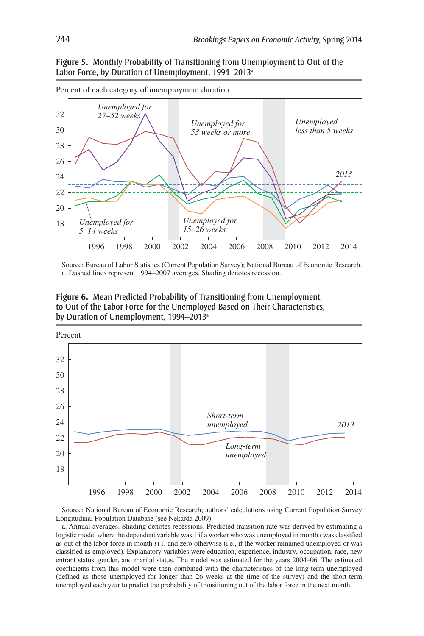**Figure 5.** Monthly Probability of Transitioning from Unemployment to Out of the Labor Force, by Duration of Unemployment, 1994–2013<sup>a</sup>



Source: Bureau of Labor Statistics (Current Population Survey); National Bureau of Economic Research. a. Dashed lines represent 1994–2007 averages. Shading denotes recession.

**Figure 6.** Mean Predicted Probability of Transitioning from Unemployment to Out of the Labor Force for the Unemployed Based on Their Characteristics, by Duration of Unemployment, 1994–2013<sup>a</sup>



Source: National Bureau of Economic Research; authors' calculations using Current Population Survey Longitudinal Population Database (see Nekarda 2009).

a. Annual averages. Shading denotes recessions. Predicted transition rate was derived by estimating a logistic model where the dependent variable was 1 if a worker who was unemployed in month *t* was classified as out of the labor force in month *t*+1, and zero otherwise (i.e., if the worker remained unemployed or was classified as employed). Explanatory variables were education, experience, industry, occupation, race, new entrant status, gender, and marital status. The model was estimated for the years 2004–06. The estimated coefficients from this model were then combined with the characteristics of the long-term unemployed (defined as those unemployed for longer than 26 weeks at the time of the survey) and the short-term unemployed each year to predict the probability of transitioning out of the labor force in the next month.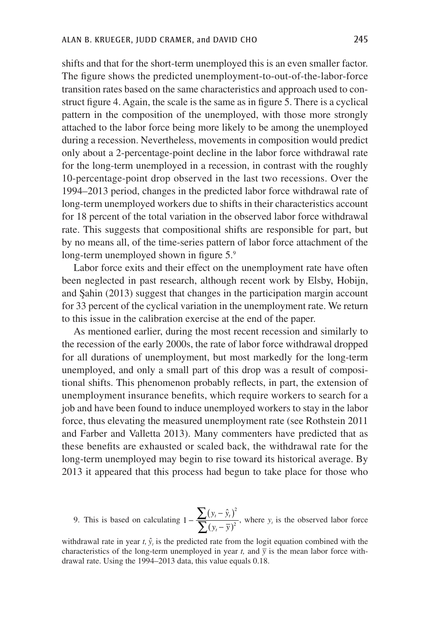shifts and that for the short-term unemployed this is an even smaller factor. The figure shows the predicted unemployment-to-out-of-the-labor-force transition rates based on the same characteristics and approach used to construct figure 4. Again, the scale is the same as in figure 5. There is a cyclical pattern in the composition of the unemployed, with those more strongly attached to the labor force being more likely to be among the unemployed during a recession. Nevertheless, movements in composition would predict only about a 2-percentage-point decline in the labor force withdrawal rate for the long-term unemployed in a recession, in contrast with the roughly 10-percentage-point drop observed in the last two recessions. Over the 1994–2013 period, changes in the predicted labor force withdrawal rate of long-term unemployed workers due to shifts in their characteristics account for 18 percent of the total variation in the observed labor force withdrawal rate. This suggests that compositional shifts are responsible for part, but by no means all, of the time-series pattern of labor force attachment of the long-term unemployed shown in figure 5.9

Labor force exits and their effect on the unemployment rate have often been neglected in past research, although recent work by Elsby, Hobijn, and Sahin (2013) suggest that changes in the participation margin account for 33 percent of the cyclical variation in the unemployment rate. We return to this issue in the calibration exercise at the end of the paper.

As mentioned earlier, during the most recent recession and similarly to the recession of the early 2000s, the rate of labor force withdrawal dropped for all durations of unemployment, but most markedly for the long-term unemployed, and only a small part of this drop was a result of compositional shifts. This phenomenon probably reflects, in part, the extension of unemployment insurance benefits, which require workers to search for a job and have been found to induce unemployed workers to stay in the labor force, thus elevating the measured unemployment rate (see Rothstein 2011 and Farber and Valletta 2013). Many commenters have predicted that as these benefits are exhausted or scaled back, the withdrawal rate for the long-term unemployed may begin to rise toward its historical average. By 2013 it appeared that this process had begun to take place for those who

9. This is based on calculating  $1-\sum_{n=1}^{\infty}$ ∑  $-\frac{\sum (y_i - \hat{y}_i)}{\sum (y_i - \overline{y})}$ *y*<sub>t</sub> –  $\hat{y}$  $y_t - \overline{y}$  $t - y_t$ *t*  $1 - \frac{\sum (y_i - \hat{y}_i)^2}{\sum (y_i - \bar{y}_i)^2}$ , where  $y_i$  is the observed labor force

withdrawal rate in year *t*,  $\hat{y}$ <sup>*t*</sup> is the predicted rate from the logit equation combined with the characteristics of the long-term unemployed in year *t*, and  $\bar{y}$  is the mean labor force withdrawal rate. Using the 1994–2013 data, this value equals 0.18.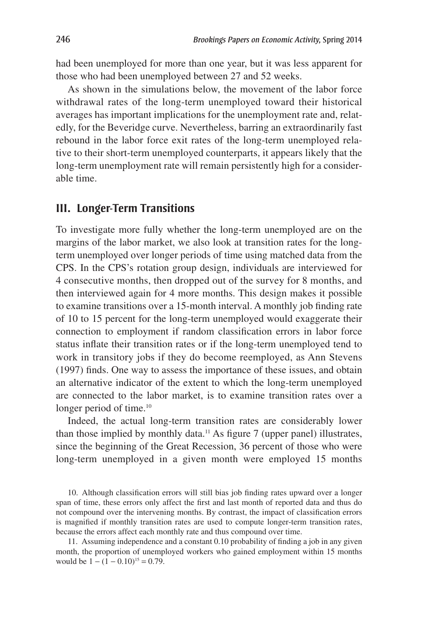had been unemployed for more than one year, but it was less apparent for those who had been unemployed between 27 and 52 weeks.

As shown in the simulations below, the movement of the labor force withdrawal rates of the long-term unemployed toward their historical averages has important implications for the unemployment rate and, relatedly, for the Beveridge curve. Nevertheless, barring an extraordinarily fast rebound in the labor force exit rates of the long-term unemployed relative to their short-term unemployed counterparts, it appears likely that the long-term unemployment rate will remain persistently high for a considerable time.

### **III. Longer-Term Transitions**

To investigate more fully whether the long-term unemployed are on the margins of the labor market, we also look at transition rates for the longterm unemployed over longer periods of time using matched data from the CPS. In the CPS's rotation group design, individuals are interviewed for 4 consecutive months, then dropped out of the survey for 8 months, and then interviewed again for 4 more months. This design makes it possible to examine transitions over a 15-month interval. A monthly job finding rate of 10 to 15 percent for the long-term unemployed would exaggerate their connection to employment if random classification errors in labor force status inflate their transition rates or if the long-term unemployed tend to work in transitory jobs if they do become reemployed, as Ann Stevens (1997) finds. One way to assess the importance of these issues, and obtain an alternative indicator of the extent to which the long-term unemployed are connected to the labor market, is to examine transition rates over a longer period of time.<sup>10</sup>

Indeed, the actual long-term transition rates are considerably lower than those implied by monthly data.11 As figure 7 (upper panel) illustrates, since the beginning of the Great Recession, 36 percent of those who were long-term unemployed in a given month were employed 15 months

10. Although classification errors will still bias job finding rates upward over a longer span of time, these errors only affect the first and last month of reported data and thus do not compound over the intervening months. By contrast, the impact of classification errors is magnified if monthly transition rates are used to compute longer-term transition rates, because the errors affect each monthly rate and thus compound over time.

11. Assuming independence and a constant 0.10 probability of finding a job in any given month, the proportion of unemployed workers who gained employment within 15 months would be  $1 - (1 - 0.10)^{15} = 0.79$ .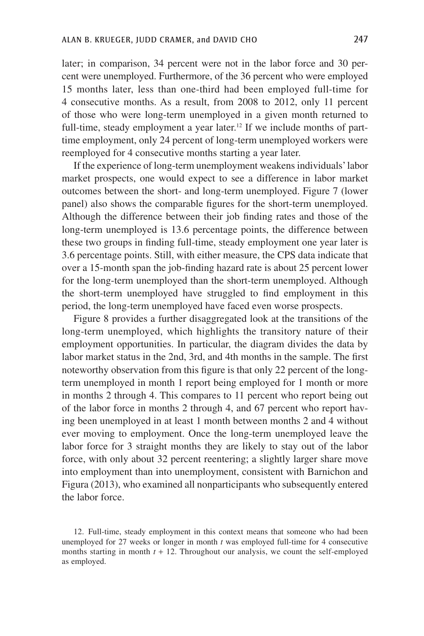later; in comparison, 34 percent were not in the labor force and 30 percent were unemployed. Furthermore, of the 36 percent who were employed 15 months later, less than one-third had been employed full-time for 4 consecutive months. As a result, from 2008 to 2012, only 11 percent of those who were long-term unemployed in a given month returned to full-time, steady employment a year later.<sup>12</sup> If we include months of parttime employment, only 24 percent of long-term unemployed workers were reemployed for 4 consecutive months starting a year later.

If the experience of long-term unemployment weakens individuals' labor market prospects, one would expect to see a difference in labor market outcomes between the short- and long-term unemployed. Figure 7 (lower panel) also shows the comparable figures for the short-term unemployed. Although the difference between their job finding rates and those of the long-term unemployed is 13.6 percentage points, the difference between these two groups in finding full-time, steady employment one year later is 3.6 percentage points. Still, with either measure, the CPS data indicate that over a 15-month span the job-finding hazard rate is about 25 percent lower for the long-term unemployed than the short-term unemployed. Although the short-term unemployed have struggled to find employment in this period, the long-term unemployed have faced even worse prospects.

Figure 8 provides a further disaggregated look at the transitions of the long-term unemployed, which highlights the transitory nature of their employment opportunities. In particular, the diagram divides the data by labor market status in the 2nd, 3rd, and 4th months in the sample. The first noteworthy observation from this figure is that only 22 percent of the longterm unemployed in month 1 report being employed for 1 month or more in months 2 through 4. This compares to 11 percent who report being out of the labor force in months 2 through 4, and 67 percent who report having been unemployed in at least 1 month between months 2 and 4 without ever moving to employment. Once the long-term unemployed leave the labor force for 3 straight months they are likely to stay out of the labor force, with only about 32 percent reentering; a slightly larger share move into employment than into unemployment, consistent with Barnichon and Figura (2013), who examined all nonparticipants who subsequently entered the labor force.

12. Full-time, steady employment in this context means that someone who had been unemployed for 27 weeks or longer in month *t* was employed full-time for 4 consecutive months starting in month  $t + 12$ . Throughout our analysis, we count the self-employed as employed.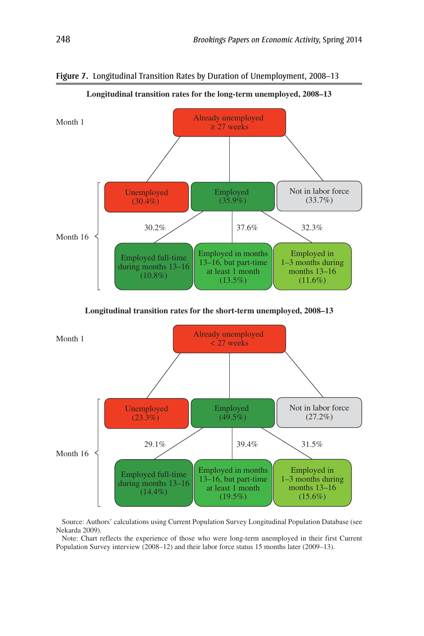

**Figure 7.** Longitudinal Transition Rates by Duration of Unemployment, 2008–13

**Longitudinal transition rates for the short-term unemployed, 2008–13**



Source: Authors' calculations using Current Population Survey Longitudinal Population Database (see Nekarda 2009).

Note: Chart reflects the experience of those who were long-term unemployed in their first Current Population Survey interview (2008–12) and their labor force status 15 months later (2009–13).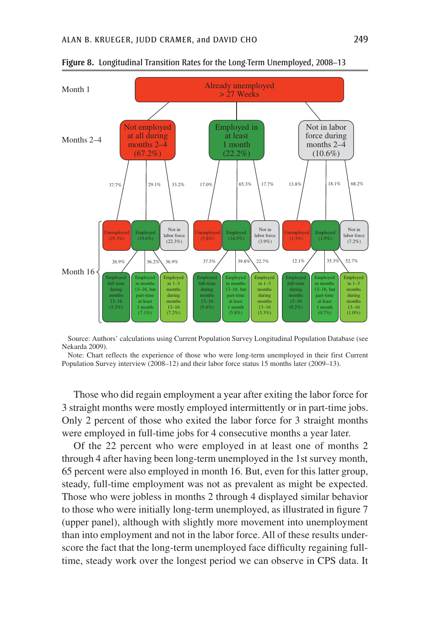

**Figure 8.** Longitudinal Transition Rates for the Long-Term Unemployed, 2008–13

Source: Authors' calculations using Current Population Survey Longitudinal Population Database (see Nekarda 2009).

Note: Chart reflects the experience of those who were long-term unemployed in their first Current Population Survey interview (2008–12) and their labor force status 15 months later (2009–13).

Those who did regain employment a year after exiting the labor force for 3 straight months were mostly employed intermittently or in part-time jobs. Only 2 percent of those who exited the labor force for 3 straight months were employed in full-time jobs for 4 consecutive months a year later.

Of the 22 percent who were employed in at least one of months 2 through 4 after having been long-term unemployed in the 1st survey month, 65 percent were also employed in month 16. But, even for this latter group, steady, full-time employment was not as prevalent as might be expected. Those who were jobless in months 2 through 4 displayed similar behavior to those who were initially long-term unemployed, as illustrated in figure 7 (upper panel), although with slightly more movement into unemployment than into employment and not in the labor force. All of these results underscore the fact that the long-term unemployed face difficulty regaining fulltime, steady work over the longest period we can observe in CPS data. It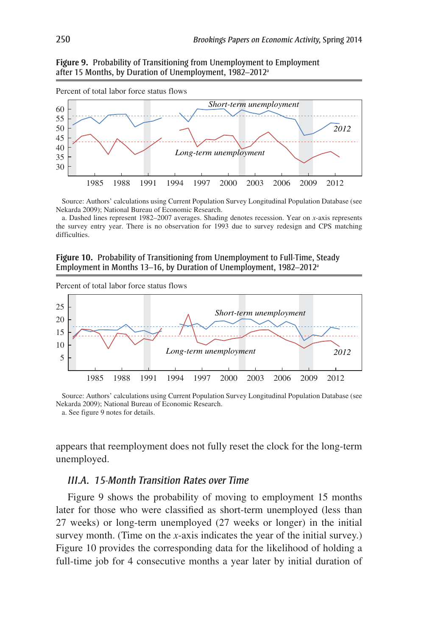**Figure 9.** Probability of Transitioning from Unemployment to Employment after 15 Months, by Duration of Unemployment, 1982–2012a



Source: Authors' calculations using Current Population Survey Longitudinal Population Database (see Nekarda 2009); National Bureau of Economic Research.

a. Dashed lines represent 1982–2007 averages. Shading denotes recession. Year on *x*-axis represents the survey entry year. There is no observation for 1993 due to survey redesign and CPS matching difficulties.

**Figure 10.** Probability of Transitioning from Unemployment to Full-Time, Steady Employment in Months 13–16, by Duration of Unemployment, 1982–2012<sup>a</sup>



Source: Authors' calculations using Current Population Survey Longitudinal Population Database (see Nekarda 2009); National Bureau of Economic Research.

a. See figure 9 notes for details.

appears that reemployment does not fully reset the clock for the long-term unemployed.

#### *III.A. 15-Month Transition Rates over Time*

Figure 9 shows the probability of moving to employment 15 months later for those who were classified as short-term unemployed (less than 27 weeks) or long-term unemployed (27 weeks or longer) in the initial survey month. (Time on the *x*-axis indicates the year of the initial survey.) Figure 10 provides the corresponding data for the likelihood of holding a full-time job for 4 consecutive months a year later by initial duration of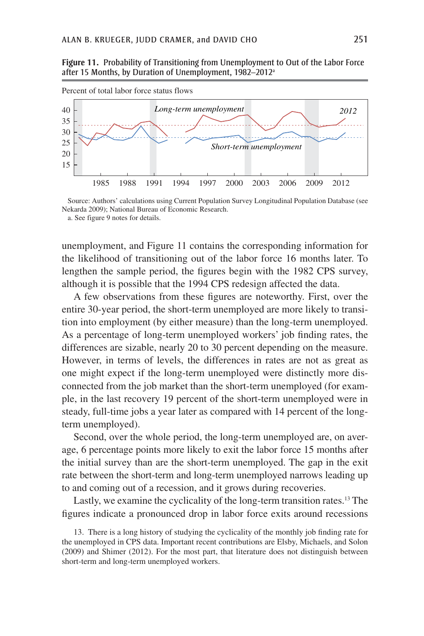**Figure 11.** Probability of Transitioning from Unemployment to Out of the Labor Force after 15 Months, by Duration of Unemployment, 1982–2012a



Source: Authors' calculations using Current Population Survey Longitudinal Population Database (see Nekarda 2009); National Bureau of Economic Research. a. See figure 9 notes for details.

unemployment, and Figure 11 contains the corresponding information for the likelihood of transitioning out of the labor force 16 months later. To lengthen the sample period, the figures begin with the 1982 CPS survey,

although it is possible that the 1994 CPS redesign affected the data.

A few observations from these figures are noteworthy. First, over the entire 30-year period, the short-term unemployed are more likely to transition into employment (by either measure) than the long-term unemployed. As a percentage of long-term unemployed workers' job finding rates, the differences are sizable, nearly 20 to 30 percent depending on the measure. However, in terms of levels, the differences in rates are not as great as one might expect if the long-term unemployed were distinctly more disconnected from the job market than the short-term unemployed (for example, in the last recovery 19 percent of the short-term unemployed were in steady, full-time jobs a year later as compared with 14 percent of the longterm unemployed).

Second, over the whole period, the long-term unemployed are, on average, 6 percentage points more likely to exit the labor force 15 months after the initial survey than are the short-term unemployed. The gap in the exit rate between the short-term and long-term unemployed narrows leading up to and coming out of a recession, and it grows during recoveries.

Lastly, we examine the cyclicality of the long-term transition rates.<sup>13</sup> The figures indicate a pronounced drop in labor force exits around recessions

13. There is a long history of studying the cyclicality of the monthly job finding rate for the unemployed in CPS data. Important recent contributions are Elsby, Michaels, and Solon (2009) and Shimer (2012). For the most part, that literature does not distinguish between short-term and long-term unemployed workers.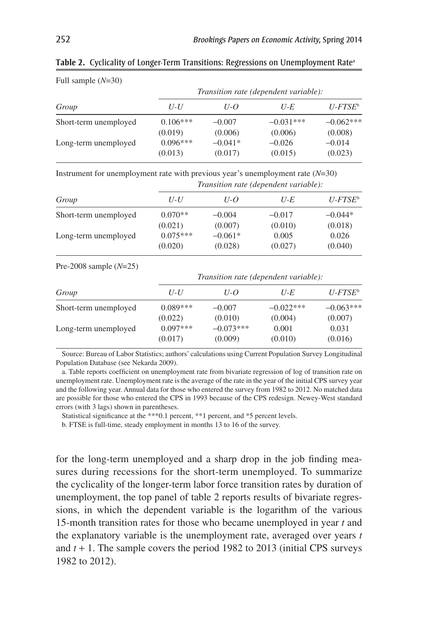| Group                 | Transition rate (dependent variable): |           |             |                        |
|-----------------------|---------------------------------------|-----------|-------------|------------------------|
|                       | $U-U$                                 | U-O       | $U$ -E      | $U$ -FTSE <sup>b</sup> |
| Short-term unemployed | $0.106***$                            | $-0.007$  | $-0.031***$ | $-0.062***$            |
|                       | (0.019)                               | (0.006)   | (0.006)     | (0.008)                |
| Long-term unemployed  | $0.096***$                            | $-0.041*$ | $-0.026$    | $-0.014$               |
|                       | (0.013)                               | (0.017)   | (0.015)     | (0.023)                |

**Table 2.** Cyclicality of Longer-Term Transitions: Regressions on Unemployment Ratea

Instrument for unemployment rate with previous year's unemployment rate  $(N=30)$ *Transition rate (dependent variable):*

| Group                 | $U-U$      | U-O       | U-E      | $U$ -FTSE <sup>b</sup> |
|-----------------------|------------|-----------|----------|------------------------|
| Short-term unemployed | $0.070**$  | $-0.004$  | $-0.017$ | $-0.044*$              |
|                       | (0.021)    | (0.007)   | (0.010)  | (0.018)                |
| Long-term unemployed  | $0.075***$ | $-0.061*$ | 0.005    | 0.026                  |
|                       | (0.020)    | (0.028)   | (0.027)  | (0.040)                |
|                       |            |           |          |                        |

Pre-2008 sample (*n*=25)

| Group                 | Transition rate (dependent variable): |             |             |                        |
|-----------------------|---------------------------------------|-------------|-------------|------------------------|
|                       | U-U                                   | $U$ -O      | U-E         | $U$ -FTSE <sup>b</sup> |
| Short-term unemployed | $0.089***$                            | $-0.007$    | $-0.022***$ | $-0.063***$            |
|                       | (0.022)                               | (0.010)     | (0.004)     | (0.007)                |
| Long-term unemployed  | $0.097***$                            | $-0.073***$ | 0.001       | 0.031                  |
|                       | (0.017)                               | (0.009)     | (0.010)     | (0.016)                |

Source: Bureau of Labor Statistics; authors' calculations using Current Population Survey Longitudinal Population Database (see Nekarda 2009).

a. Table reports coefficient on unemployment rate from bivariate regression of log of transition rate on unemployment rate. Unemployment rate is the average of the rate in the year of the initial CPS survey year and the following year. Annual data for those who entered the survey from 1982 to 2012. No matched data are possible for those who entered the CPS in 1993 because of the CPS redesign. Newey-West standard errors (with 3 lags) shown in parentheses.

Statistical significance at the \*\*\*0.1 percent, \*\*1 percent, and \*5 percent levels.

b. FTSE is full-time, steady employment in months 13 to 16 of the survey.

for the long-term unemployed and a sharp drop in the job finding measures during recessions for the short-term unemployed. To summarize the cyclicality of the longer-term labor force transition rates by duration of unemployment, the top panel of table 2 reports results of bivariate regressions, in which the dependent variable is the logarithm of the various 15-month transition rates for those who became unemployed in year *t* and the explanatory variable is the unemployment rate, averaged over years *t* and  $t + 1$ . The sample covers the period 1982 to 2013 (initial CPS surveys 1982 to 2012).

Full sample (*n*=30)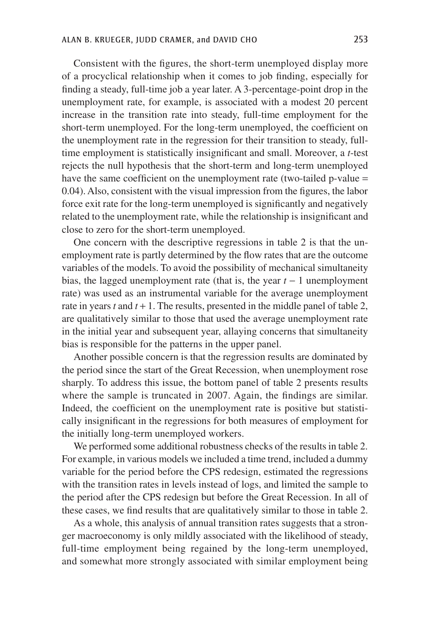Consistent with the figures, the short-term unemployed display more of a procyclical relationship when it comes to job finding, especially for finding a steady, full-time job a year later. A 3-percentage-point drop in the unemployment rate, for example, is associated with a modest 20 percent increase in the transition rate into steady, full-time employment for the short-term unemployed. For the long-term unemployed, the coefficient on the unemployment rate in the regression for their transition to steady, fulltime employment is statistically insignificant and small. Moreover, a *t*-test rejects the null hypothesis that the short-term and long-term unemployed have the same coefficient on the unemployment rate (two-tailed p-value = 0.04). Also, consistent with the visual impression from the figures, the labor force exit rate for the long-term unemployed is significantly and negatively related to the unemployment rate, while the relationship is insignificant and close to zero for the short-term unemployed.

One concern with the descriptive regressions in table 2 is that the unemployment rate is partly determined by the flow rates that are the outcome variables of the models. To avoid the possibility of mechanical simultaneity bias, the lagged unemployment rate (that is, the year  $t - 1$  unemployment rate) was used as an instrumental variable for the average unemployment rate in years  $t$  and  $t + 1$ . The results, presented in the middle panel of table 2, are qualitatively similar to those that used the average unemployment rate in the initial year and subsequent year, allaying concerns that simultaneity bias is responsible for the patterns in the upper panel.

Another possible concern is that the regression results are dominated by the period since the start of the Great Recession, when unemployment rose sharply. To address this issue, the bottom panel of table 2 presents results where the sample is truncated in 2007. Again, the findings are similar. Indeed, the coefficient on the unemployment rate is positive but statistically insignificant in the regressions for both measures of employment for the initially long-term unemployed workers.

We performed some additional robustness checks of the results in table 2. For example, in various models we included a time trend, included a dummy variable for the period before the CPS redesign, estimated the regressions with the transition rates in levels instead of logs, and limited the sample to the period after the CPS redesign but before the Great Recession. In all of these cases, we find results that are qualitatively similar to those in table 2.

As a whole, this analysis of annual transition rates suggests that a stronger macroeconomy is only mildly associated with the likelihood of steady, full-time employment being regained by the long-term unemployed, and somewhat more strongly associated with similar employment being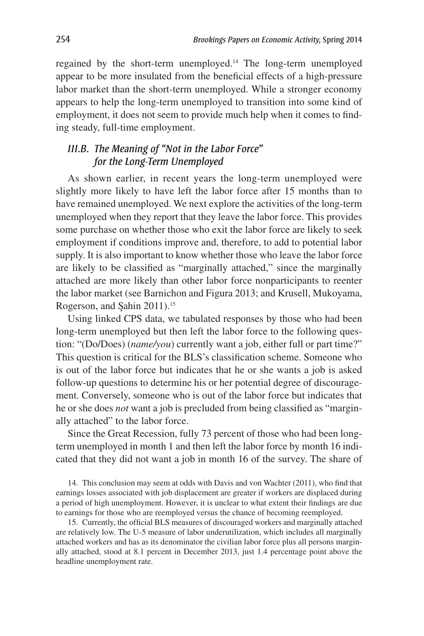regained by the short-term unemployed.14 The long-term unemployed appear to be more insulated from the beneficial effects of a high-pressure labor market than the short-term unemployed. While a stronger economy appears to help the long-term unemployed to transition into some kind of employment, it does not seem to provide much help when it comes to finding steady, full-time employment.

## *III.B. The Meaning of "Not in the Labor Force" for the Long-Term Unemployed*

As shown earlier, in recent years the long-term unemployed were slightly more likely to have left the labor force after 15 months than to have remained unemployed. We next explore the activities of the long-term unemployed when they report that they leave the labor force. This provides some purchase on whether those who exit the labor force are likely to seek employment if conditions improve and, therefore, to add to potential labor supply. It is also important to know whether those who leave the labor force are likely to be classified as "marginally attached," since the marginally attached are more likely than other labor force nonparticipants to reenter the labor market (see Barnichon and Figura 2013; and Krusell, Mukoyama, Rogerson, and Sahin  $2011$ ).<sup>15</sup>

Using linked CPS data, we tabulated responses by those who had been long-term unemployed but then left the labor force to the following question: "(Do/Does) (*name/you*) currently want a job, either full or part time?" This question is critical for the BLS's classification scheme. Someone who is out of the labor force but indicates that he or she wants a job is asked follow-up questions to determine his or her potential degree of discouragement. Conversely, someone who is out of the labor force but indicates that he or she does *not* want a job is precluded from being classified as "marginally attached" to the labor force.

Since the Great Recession, fully 73 percent of those who had been longterm unemployed in month 1 and then left the labor force by month 16 indicated that they did not want a job in month 16 of the survey. The share of

14. This conclusion may seem at odds with Davis and von Wachter (2011), who find that earnings losses associated with job displacement are greater if workers are displaced during a period of high unemployment. However, it is unclear to what extent their findings are due to earnings for those who are reemployed versus the chance of becoming reemployed.

15. Currently, the official BLS measures of discouraged workers and marginally attached are relatively low. The U-5 measure of labor underutilization, which includes all marginally attached workers and has as its denominator the civilian labor force plus all persons marginally attached, stood at 8.1 percent in December 2013, just 1.4 percentage point above the headline unemployment rate.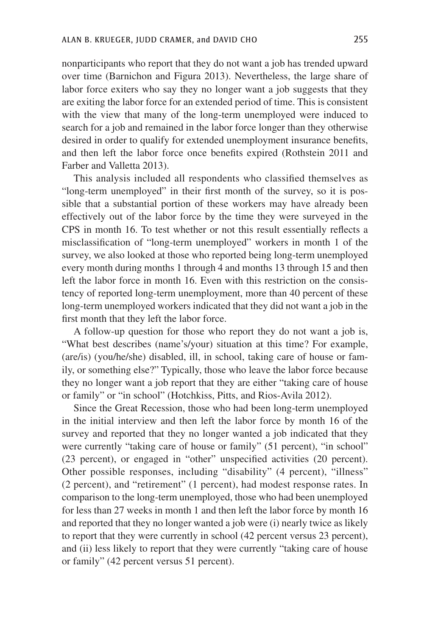nonparticipants who report that they do not want a job has trended upward over time (Barnichon and Figura 2013). Nevertheless, the large share of labor force exiters who say they no longer want a job suggests that they are exiting the labor force for an extended period of time. This is consistent with the view that many of the long-term unemployed were induced to search for a job and remained in the labor force longer than they otherwise desired in order to qualify for extended unemployment insurance benefits, and then left the labor force once benefits expired (Rothstein 2011 and Farber and Valletta 2013).

This analysis included all respondents who classified themselves as "long-term unemployed" in their first month of the survey, so it is possible that a substantial portion of these workers may have already been effectively out of the labor force by the time they were surveyed in the CPS in month 16. To test whether or not this result essentially reflects a misclassification of "long-term unemployed" workers in month 1 of the survey, we also looked at those who reported being long-term unemployed every month during months 1 through 4 and months 13 through 15 and then left the labor force in month 16. Even with this restriction on the consistency of reported long-term unemployment, more than 40 percent of these long-term unemployed workers indicated that they did not want a job in the first month that they left the labor force.

A follow-up question for those who report they do not want a job is, "What best describes (name's/your) situation at this time? For example, (are/is) (you/he/she) disabled, ill, in school, taking care of house or family, or something else?" Typically, those who leave the labor force because they no longer want a job report that they are either "taking care of house or family" or "in school" (Hotchkiss, Pitts, and Rios-Avila 2012).

Since the Great Recession, those who had been long-term unemployed in the initial interview and then left the labor force by month 16 of the survey and reported that they no longer wanted a job indicated that they were currently "taking care of house or family" (51 percent), "in school" (23 percent), or engaged in "other" unspecified activities (20 percent). Other possible responses, including "disability" (4 percent), "illness" (2 percent), and "retirement" (1 percent), had modest response rates. In comparison to the long-term unemployed, those who had been unemployed for less than 27 weeks in month 1 and then left the labor force by month 16 and reported that they no longer wanted a job were (i) nearly twice as likely to report that they were currently in school (42 percent versus 23 percent), and (ii) less likely to report that they were currently "taking care of house or family" (42 percent versus 51 percent).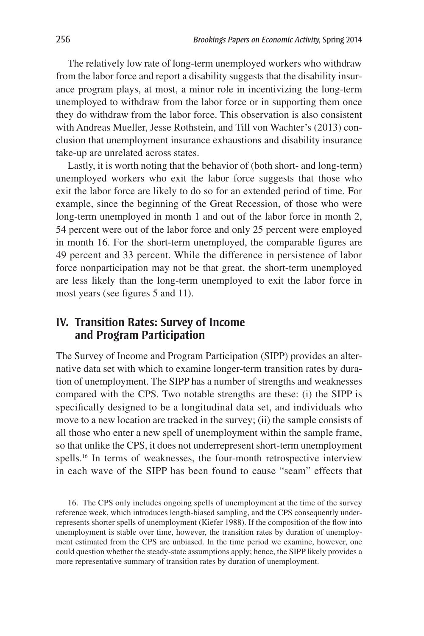The relatively low rate of long-term unemployed workers who withdraw from the labor force and report a disability suggests that the disability insurance program plays, at most, a minor role in incentivizing the long-term unemployed to withdraw from the labor force or in supporting them once they do withdraw from the labor force. This observation is also consistent with Andreas Mueller, Jesse Rothstein, and Till von Wachter's (2013) conclusion that unemployment insurance exhaustions and disability insurance take-up are unrelated across states.

Lastly, it is worth noting that the behavior of (both short- and long-term) unemployed workers who exit the labor force suggests that those who exit the labor force are likely to do so for an extended period of time. For example, since the beginning of the Great Recession, of those who were long-term unemployed in month 1 and out of the labor force in month 2, 54 percent were out of the labor force and only 25 percent were employed in month 16. For the short-term unemployed, the comparable figures are 49 percent and 33 percent. While the difference in persistence of labor force nonparticipation may not be that great, the short-term unemployed are less likely than the long-term unemployed to exit the labor force in most years (see figures 5 and 11).

## **IV. Transition Rates: Survey of Income and Program Participation**

The Survey of Income and Program Participation (SIPP) provides an alternative data set with which to examine longer-term transition rates by duration of unemployment. The SIPP has a number of strengths and weaknesses compared with the CPS. Two notable strengths are these: (i) the SIPP is specifically designed to be a longitudinal data set, and individuals who move to a new location are tracked in the survey; (ii) the sample consists of all those who enter a new spell of unemployment within the sample frame, so that unlike the CPS, it does not underrepresent short-term unemployment spells.<sup>16</sup> In terms of weaknesses, the four-month retrospective interview in each wave of the SIPP has been found to cause "seam" effects that

16. The CPS only includes ongoing spells of unemployment at the time of the survey reference week, which introduces length-biased sampling, and the CPS consequently underrepresents shorter spells of unemployment (Kiefer 1988). If the composition of the flow into unemployment is stable over time, however, the transition rates by duration of unemployment estimated from the CPS are unbiased. In the time period we examine, however, one could question whether the steady-state assumptions apply; hence, the SIPP likely provides a more representative summary of transition rates by duration of unemployment.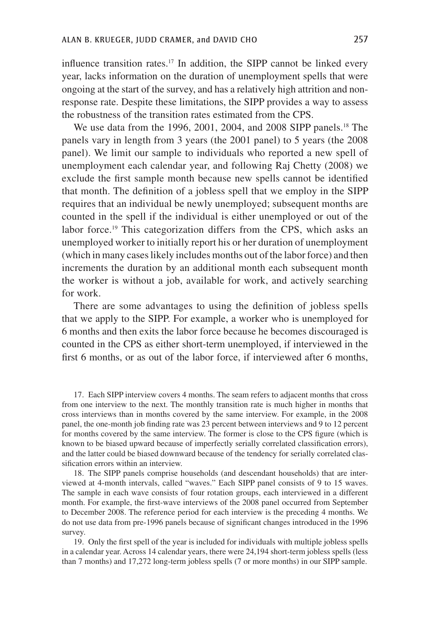influence transition rates.<sup>17</sup> In addition, the SIPP cannot be linked every year, lacks information on the duration of unemployment spells that were ongoing at the start of the survey, and has a relatively high attrition and nonresponse rate. Despite these limitations, the SIPP provides a way to assess the robustness of the transition rates estimated from the CPS.

We use data from the 1996, 2001, 2004, and 2008 SIPP panels.18 The panels vary in length from 3 years (the 2001 panel) to 5 years (the 2008 panel). We limit our sample to individuals who reported a new spell of unemployment each calendar year, and following Raj Chetty (2008) we exclude the first sample month because new spells cannot be identified that month. The definition of a jobless spell that we employ in the SIPP requires that an individual be newly unemployed; subsequent months are counted in the spell if the individual is either unemployed or out of the labor force.<sup>19</sup> This categorization differs from the CPS, which asks an unemployed worker to initially report his or her duration of unemployment (which in many cases likely includes months out of the labor force) and then increments the duration by an additional month each subsequent month the worker is without a job, available for work, and actively searching for work.

There are some advantages to using the definition of jobless spells that we apply to the SIPP. For example, a worker who is unemployed for 6 months and then exits the labor force because he becomes discouraged is counted in the CPS as either short-term unemployed, if interviewed in the first 6 months, or as out of the labor force, if interviewed after 6 months,

17. Each SIPP interview covers 4 months. The seam refers to adjacent months that cross from one interview to the next. The monthly transition rate is much higher in months that cross interviews than in months covered by the same interview. For example, in the 2008 panel, the one-month job finding rate was 23 percent between interviews and 9 to 12 percent for months covered by the same interview. The former is close to the CPS figure (which is known to be biased upward because of imperfectly serially correlated classification errors), and the latter could be biased downward because of the tendency for serially correlated classification errors within an interview.

18. The SIPP panels comprise households (and descendant households) that are interviewed at 4-month intervals, called "waves." Each SIPP panel consists of 9 to 15 waves. The sample in each wave consists of four rotation groups, each interviewed in a different month. For example, the first-wave interviews of the 2008 panel occurred from September to December 2008. The reference period for each interview is the preceding 4 months. We do not use data from pre-1996 panels because of significant changes introduced in the 1996 survey.

19. Only the first spell of the year is included for individuals with multiple jobless spells in a calendar year. Across 14 calendar years, there were 24,194 short-term jobless spells (less than 7 months) and 17,272 long-term jobless spells (7 or more months) in our SIPP sample.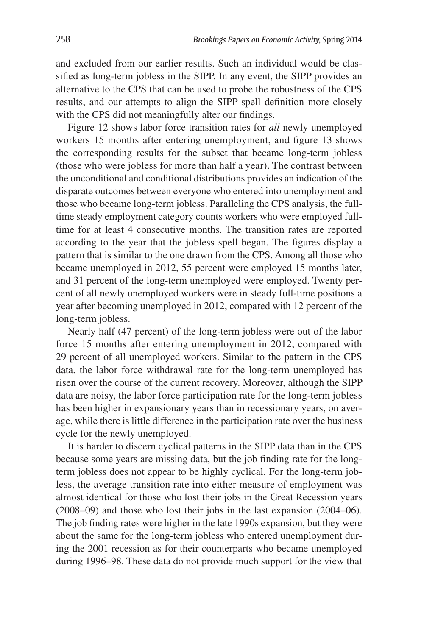and excluded from our earlier results. Such an individual would be classified as long-term jobless in the SIPP. In any event, the SIPP provides an alternative to the CPS that can be used to probe the robustness of the CPS results, and our attempts to align the SIPP spell definition more closely with the CPS did not meaningfully alter our findings.

Figure 12 shows labor force transition rates for *all* newly unemployed workers 15 months after entering unemployment, and figure 13 shows the corresponding results for the subset that became long-term jobless (those who were jobless for more than half a year). The contrast between the unconditional and conditional distributions provides an indication of the disparate outcomes between everyone who entered into unemployment and those who became long-term jobless. Paralleling the CPS analysis, the fulltime steady employment category counts workers who were employed fulltime for at least 4 consecutive months. The transition rates are reported according to the year that the jobless spell began. The figures display a pattern that is similar to the one drawn from the CPS. Among all those who became unemployed in 2012, 55 percent were employed 15 months later, and 31 percent of the long-term unemployed were employed. Twenty percent of all newly unemployed workers were in steady full-time positions a year after becoming unemployed in 2012, compared with 12 percent of the long-term jobless.

Nearly half (47 percent) of the long-term jobless were out of the labor force 15 months after entering unemployment in 2012, compared with 29 percent of all unemployed workers. Similar to the pattern in the CPS data, the labor force withdrawal rate for the long-term unemployed has risen over the course of the current recovery. Moreover, although the SIPP data are noisy, the labor force participation rate for the long-term jobless has been higher in expansionary years than in recessionary years, on average, while there is little difference in the participation rate over the business cycle for the newly unemployed.

It is harder to discern cyclical patterns in the SIPP data than in the CPS because some years are missing data, but the job finding rate for the longterm jobless does not appear to be highly cyclical. For the long-term jobless, the average transition rate into either measure of employment was almost identical for those who lost their jobs in the Great Recession years (2008–09) and those who lost their jobs in the last expansion (2004–06). The job finding rates were higher in the late 1990s expansion, but they were about the same for the long-term jobless who entered unemployment during the 2001 recession as for their counterparts who became unemployed during 1996–98. These data do not provide much support for the view that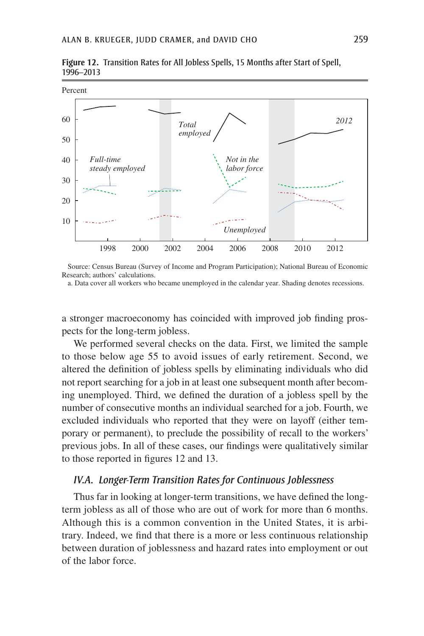

**Figure 12.** Transition Rates for All Jobless Spells, 15 Months after Start of Spell, 1996–2013

Source: Census Bureau (Survey of Income and Program Participation); National Bureau of Economic Research; authors' calculations.

a. Data cover all workers who became unemployed in the calendar year. Shading denotes recessions.

a stronger macroeconomy has coincided with improved job finding prospects for the long-term jobless.

We performed several checks on the data. First, we limited the sample to those below age 55 to avoid issues of early retirement. Second, we altered the definition of jobless spells by eliminating individuals who did not report searching for a job in at least one subsequent month after becoming unemployed. Third, we defined the duration of a jobless spell by the number of consecutive months an individual searched for a job. Fourth, we excluded individuals who reported that they were on layoff (either temporary or permanent), to preclude the possibility of recall to the workers' previous jobs. In all of these cases, our findings were qualitatively similar to those reported in figures 12 and 13.

#### *IV.A. Longer-Term Transition Rates for Continuous Joblessness*

Thus far in looking at longer-term transitions, we have defined the longterm jobless as all of those who are out of work for more than 6 months. Although this is a common convention in the United States, it is arbitrary. Indeed, we find that there is a more or less continuous relationship between duration of joblessness and hazard rates into employment or out of the labor force.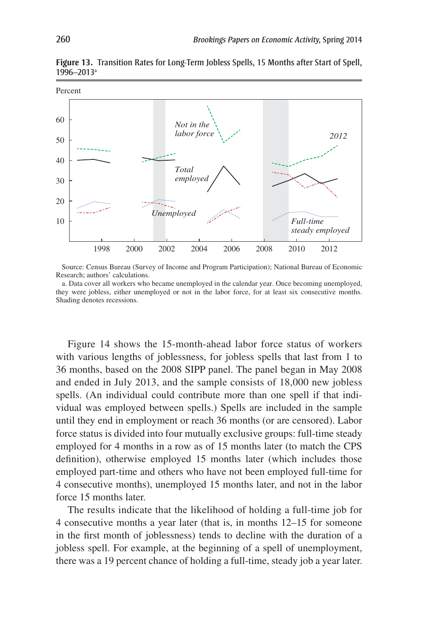

**Figure 13.** Transition Rates for Long-Term Jobless Spells, 15 Months after Start of Spell, 1996–2013a

Source: Census Bureau (Survey of Income and Program Participation); National Bureau of Economic Research; authors' calculations.

a. Data cover all workers who became unemployed in the calendar year. Once becoming unemployed, they were jobless, either unemployed or not in the labor force, for at least six consecutive months. Shading denotes recessions.

Figure 14 shows the 15-month-ahead labor force status of workers with various lengths of joblessness, for jobless spells that last from 1 to 36 months, based on the 2008 SIPP panel. The panel began in May 2008 and ended in July 2013, and the sample consists of 18,000 new jobless spells. (An individual could contribute more than one spell if that individual was employed between spells.) Spells are included in the sample until they end in employment or reach 36 months (or are censored). Labor force status is divided into four mutually exclusive groups: full-time steady employed for 4 months in a row as of 15 months later (to match the CPS definition), otherwise employed 15 months later (which includes those employed part-time and others who have not been employed full-time for 4 consecutive months), unemployed 15 months later, and not in the labor force 15 months later.

The results indicate that the likelihood of holding a full-time job for 4 consecutive months a year later (that is, in months 12–15 for someone in the first month of joblessness) tends to decline with the duration of a jobless spell. For example, at the beginning of a spell of unemployment, there was a 19 percent chance of holding a full-time, steady job a year later.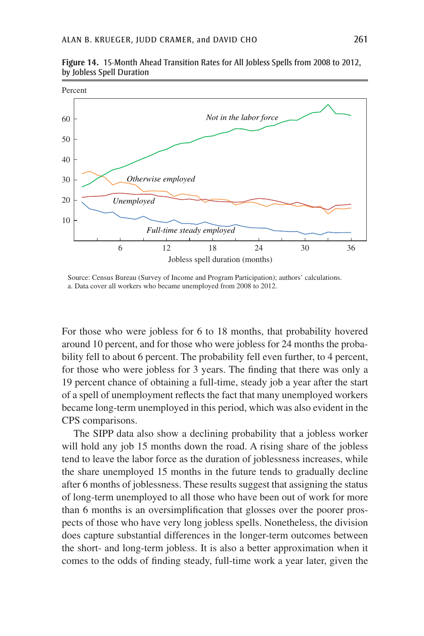

**Figure 14.** 15-Month Ahead Transition Rates for All Jobless Spells from 2008 to 2012, by Jobless Spell Duration

Source: Census Bureau (Survey of Income and Program Participation); authors' calculations. a. Data cover all workers who became unemployed from 2008 to 2012.

For those who were jobless for 6 to 18 months, that probability hovered around 10 percent, and for those who were jobless for 24 months the probability fell to about 6 percent. The probability fell even further, to 4 percent, for those who were jobless for 3 years. The finding that there was only a 19 percent chance of obtaining a full-time, steady job a year after the start of a spell of unemployment reflects the fact that many unemployed workers became long-term unemployed in this period, which was also evident in the CPS comparisons.

The SIPP data also show a declining probability that a jobless worker will hold any job 15 months down the road. A rising share of the jobless tend to leave the labor force as the duration of joblessness increases, while the share unemployed 15 months in the future tends to gradually decline after 6 months of joblessness. These results suggest that assigning the status of long-term unemployed to all those who have been out of work for more than 6 months is an oversimplification that glosses over the poorer prospects of those who have very long jobless spells. Nonetheless, the division does capture substantial differences in the longer-term outcomes between the short- and long-term jobless. It is also a better approximation when it comes to the odds of finding steady, full-time work a year later, given the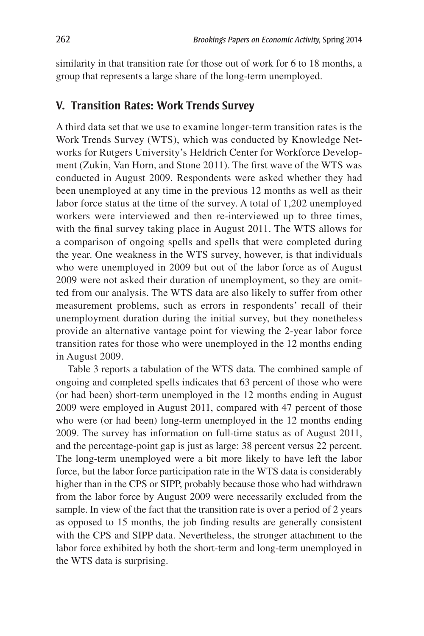similarity in that transition rate for those out of work for 6 to 18 months, a group that represents a large share of the long-term unemployed.

# **V. Transition Rates: Work Trends Survey**

A third data set that we use to examine longer-term transition rates is the Work Trends Survey (WTS), which was conducted by Knowledge Networks for Rutgers University's Heldrich Center for Workforce Development (Zukin, Van Horn, and Stone 2011). The first wave of the WTS was conducted in August 2009. Respondents were asked whether they had been unemployed at any time in the previous 12 months as well as their labor force status at the time of the survey. A total of 1,202 unemployed workers were interviewed and then re-interviewed up to three times, with the final survey taking place in August 2011. The WTS allows for a comparison of ongoing spells and spells that were completed during the year. One weakness in the WTS survey, however, is that individuals who were unemployed in 2009 but out of the labor force as of August 2009 were not asked their duration of unemployment, so they are omitted from our analysis. The WTS data are also likely to suffer from other measurement problems, such as errors in respondents' recall of their unemployment duration during the initial survey, but they nonetheless provide an alternative vantage point for viewing the 2-year labor force transition rates for those who were unemployed in the 12 months ending in August 2009.

Table 3 reports a tabulation of the WTS data. The combined sample of ongoing and completed spells indicates that 63 percent of those who were (or had been) short-term unemployed in the 12 months ending in August 2009 were employed in August 2011, compared with 47 percent of those who were (or had been) long-term unemployed in the 12 months ending 2009. The survey has information on full-time status as of August 2011, and the percentage-point gap is just as large: 38 percent versus 22 percent. The long-term unemployed were a bit more likely to have left the labor force, but the labor force participation rate in the WTS data is considerably higher than in the CPS or SIPP, probably because those who had withdrawn from the labor force by August 2009 were necessarily excluded from the sample. In view of the fact that the transition rate is over a period of 2 years as opposed to 15 months, the job finding results are generally consistent with the CPS and SIPP data. Nevertheless, the stronger attachment to the labor force exhibited by both the short-term and long-term unemployed in the WTS data is surprising.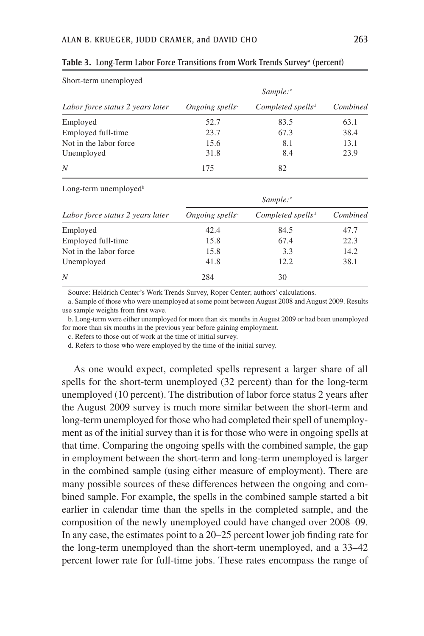| Labor force status 2 years later | Sample:                     |                               |          |  |
|----------------------------------|-----------------------------|-------------------------------|----------|--|
|                                  | Ongoing spells <sup>c</sup> | Completed spells <sup>d</sup> | Combined |  |
| Employed                         | 52.7                        | 83.5                          | 63.1     |  |
| Employed full-time               | 23.7                        | 67.3                          | 38.4     |  |
| Not in the labor force.          | 15.6                        | 8.1                           | 13.1     |  |
| Unemployed                       | 31.8                        | 8.4                           | 23.9     |  |
| N                                | 175                         | 82                            |          |  |

|  |  |  |  |  | Table 3. Long-Term Labor Force Transitions from Work Trends Survey <sup>a</sup> (percent) |  |
|--|--|--|--|--|-------------------------------------------------------------------------------------------|--|
|--|--|--|--|--|-------------------------------------------------------------------------------------------|--|

Long-term unemployed<sup>b</sup>

Short-term unemployed

| Labor force status 2 years later | Sample:                     |                                 |          |  |
|----------------------------------|-----------------------------|---------------------------------|----------|--|
|                                  | Ongoing spells <sup>c</sup> | $Completed$ spells <sup>d</sup> | Combined |  |
| Employed                         | 42.4                        | 84.5                            | 47.7     |  |
| Employed full-time               | 15.8                        | 67.4                            | 22.3     |  |
| Not in the labor force.          | 15.8                        | 3.3                             | 14.2     |  |
| Unemployed                       | 41.8                        | 12.2                            | 38.1     |  |
| N                                | 284                         | 30                              |          |  |

Source: Heldrich Center's Work Trends Survey, Roper Center; authors' calculations.

a. Sample of those who were unemployed at some point between August 2008 and August 2009. Results use sample weights from first wave.

b. Long-term were either unemployed for more than six months in August 2009 or had been unemployed for more than six months in the previous year before gaining employment.

c. Refers to those out of work at the time of initial survey.

d. Refers to those who were employed by the time of the initial survey.

As one would expect, completed spells represent a larger share of all spells for the short-term unemployed (32 percent) than for the long-term unemployed (10 percent). The distribution of labor force status 2 years after the August 2009 survey is much more similar between the short-term and long-term unemployed for those who had completed their spell of unemployment as of the initial survey than it is for those who were in ongoing spells at that time. Comparing the ongoing spells with the combined sample, the gap in employment between the short-term and long-term unemployed is larger in the combined sample (using either measure of employment). There are many possible sources of these differences between the ongoing and combined sample. For example, the spells in the combined sample started a bit earlier in calendar time than the spells in the completed sample, and the composition of the newly unemployed could have changed over 2008–09. In any case, the estimates point to a 20–25 percent lower job finding rate for the long-term unemployed than the short-term unemployed, and a 33–42 percent lower rate for full-time jobs. These rates encompass the range of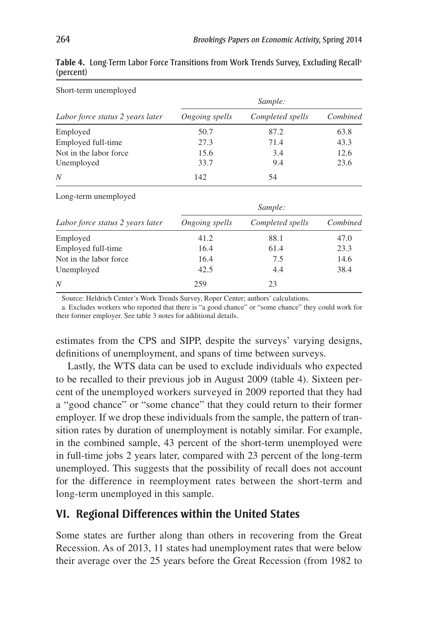| Short-term unemployed            | Sample:        |                  |          |  |
|----------------------------------|----------------|------------------|----------|--|
| Labor force status 2 years later | Ongoing spells | Completed spells | Combined |  |
| Employed                         | 50.7           | 87.2             | 63.8     |  |
| Employed full-time               | 27.3           | 71.4             | 43.3     |  |
| Not in the labor force.          | 15.6           | 3.4              | 12.6     |  |
| Unemployed                       | 33.7           | 9.4              | 23.6     |  |
| N                                | 142            | 54               |          |  |

**Table 4.** Long-Term Labor Force Transitions from Work Trends Survey, Excluding Recalla (percent)

Long-term unemployed

| Labor force status 2 years later | Sample:        |                  |          |  |
|----------------------------------|----------------|------------------|----------|--|
|                                  | Ongoing spells | Completed spells | Combined |  |
| Employed                         | 41.2           | 88.1             | 47.0     |  |
| Employed full-time               | 16.4           | 61.4             | 23.3     |  |
| Not in the labor force.          | 16.4           | 7.5              | 14.6     |  |
| Unemployed                       | 42.5           | 4.4              | 38.4     |  |
| N                                | 259            | 23               |          |  |

Source: Heldrich Center's Work Trends Survey, Roper Center; authors' calculations.

a. Excludes workers who reported that there is "a good chance" or "some chance" they could work for their former employer. See table 3 notes for additional details.

estimates from the CPS and SIPP, despite the surveys' varying designs, definitions of unemployment, and spans of time between surveys.

Lastly, the WTS data can be used to exclude individuals who expected to be recalled to their previous job in August 2009 (table 4). Sixteen percent of the unemployed workers surveyed in 2009 reported that they had a "good chance" or "some chance" that they could return to their former employer. If we drop these individuals from the sample, the pattern of transition rates by duration of unemployment is notably similar. For example, in the combined sample, 43 percent of the short-term unemployed were in full-time jobs 2 years later, compared with 23 percent of the long-term unemployed. This suggests that the possibility of recall does not account for the difference in reemployment rates between the short-term and long-term unemployed in this sample.

# **VI. Regional Differences within the United States**

Some states are further along than others in recovering from the Great Recession. As of 2013, 11 states had unemployment rates that were below their average over the 25 years before the Great Recession (from 1982 to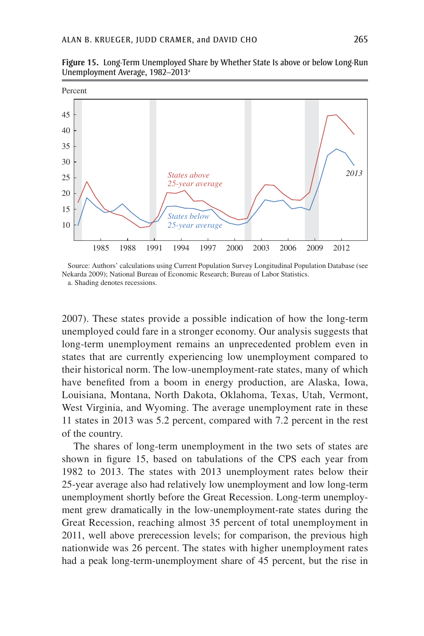

**Figure 15.** Long-Term Unemployed Share by Whether State Is above or below Long-Run Unemployment Average, 1982–2013a

Source: Authors' calculations using Current Population Survey Longitudinal Population Database (see Nekarda 2009); National Bureau of Economic Research; Bureau of Labor Statistics.

a. Shading denotes recessions.

2007). These states provide a possible indication of how the long-term unemployed could fare in a stronger economy. Our analysis suggests that long-term unemployment remains an unprecedented problem even in states that are currently experiencing low unemployment compared to their historical norm. The low-unemployment-rate states, many of which have benefited from a boom in energy production, are Alaska, Iowa, Louisiana, Montana, North Dakota, Oklahoma, Texas, Utah, Vermont, West Virginia, and Wyoming. The average unemployment rate in these 11 states in 2013 was 5.2 percent, compared with 7.2 percent in the rest of the country.

The shares of long-term unemployment in the two sets of states are shown in figure 15, based on tabulations of the CPS each year from 1982 to 2013. The states with 2013 unemployment rates below their 25-year average also had relatively low unemployment and low long-term unemployment shortly before the Great Recession. Long-term unemployment grew dramatically in the low-unemployment-rate states during the Great Recession, reaching almost 35 percent of total unemployment in 2011, well above prerecession levels; for comparison, the previous high nationwide was 26 percent. The states with higher unemployment rates had a peak long-term-unemployment share of 45 percent, but the rise in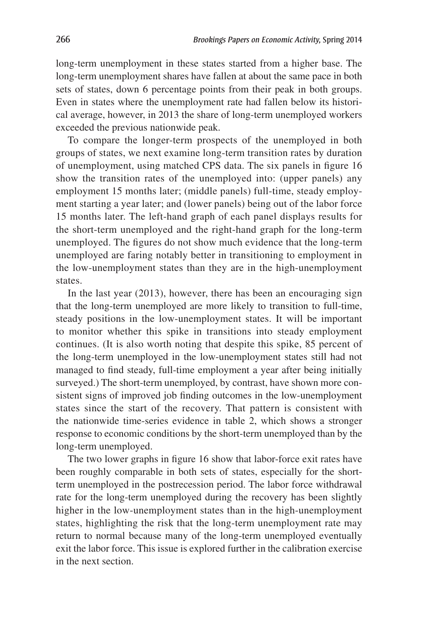long-term unemployment in these states started from a higher base. The long-term unemployment shares have fallen at about the same pace in both sets of states, down 6 percentage points from their peak in both groups. Even in states where the unemployment rate had fallen below its historical average, however, in 2013 the share of long-term unemployed workers exceeded the previous nationwide peak.

To compare the longer-term prospects of the unemployed in both groups of states, we next examine long-term transition rates by duration of unemployment, using matched CPS data. The six panels in figure 16 show the transition rates of the unemployed into: (upper panels) any employment 15 months later; (middle panels) full-time, steady employment starting a year later; and (lower panels) being out of the labor force 15 months later. The left-hand graph of each panel displays results for the short-term unemployed and the right-hand graph for the long-term unemployed. The figures do not show much evidence that the long-term unemployed are faring notably better in transitioning to employment in the low-unemployment states than they are in the high-unemployment states.

In the last year (2013), however, there has been an encouraging sign that the long-term unemployed are more likely to transition to full-time, steady positions in the low-unemployment states. It will be important to monitor whether this spike in transitions into steady employment continues. (It is also worth noting that despite this spike, 85 percent of the long-term unemployed in the low-unemployment states still had not managed to find steady, full-time employment a year after being initially surveyed.) The short-term unemployed, by contrast, have shown more consistent signs of improved job finding outcomes in the low-unemployment states since the start of the recovery. That pattern is consistent with the nationwide time-series evidence in table 2, which shows a stronger response to economic conditions by the short-term unemployed than by the long-term unemployed.

The two lower graphs in figure 16 show that labor-force exit rates have been roughly comparable in both sets of states, especially for the shortterm unemployed in the postrecession period. The labor force withdrawal rate for the long-term unemployed during the recovery has been slightly higher in the low-unemployment states than in the high-unemployment states, highlighting the risk that the long-term unemployment rate may return to normal because many of the long-term unemployed eventually exit the labor force. This issue is explored further in the calibration exercise in the next section.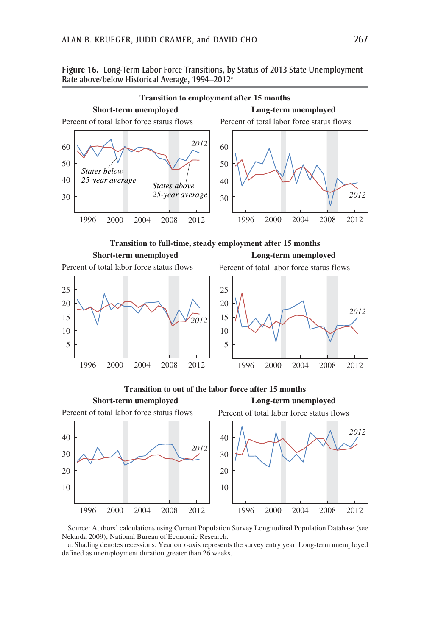



Source: Authors' calculations using Current Population Survey Longitudinal Population Database (see Nekarda 2009); National Bureau of Economic Research.

a. Shading denotes recessions. Year on *x*-axis represents the survey entry year. Long-term unemployed defined as unemployment duration greater than 26 weeks.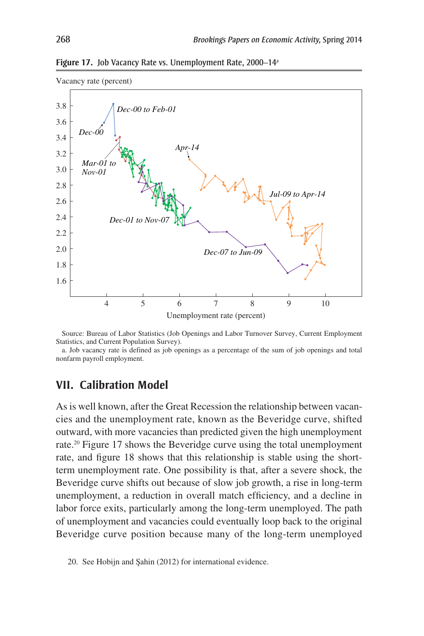

Figure 17. Job Vacancy Rate vs. Unemployment Rate, 2000–14<sup>a</sup>

Source: Bureau of Labor Statistics (Job Openings and Labor Turnover Survey, Current Employment Statistics, and Current Population Survey).

a. Job vacancy rate is defined as job openings as a percentage of the sum of job openings and total nonfarm payroll employment.

# **VII. Calibration Model**

As is well known, after the Great Recession the relationship between vacancies and the unemployment rate, known as the Beveridge curve, shifted outward, with more vacancies than predicted given the high unemployment rate.20 Figure 17 shows the Beveridge curve using the total unemployment rate, and figure 18 shows that this relationship is stable using the shortterm unemployment rate. One possibility is that, after a severe shock, the Beveridge curve shifts out because of slow job growth, a rise in long-term unemployment, a reduction in overall match efficiency, and a decline in labor force exits, particularly among the long-term unemployed. The path of unemployment and vacancies could eventually loop back to the original Beveridge curve position because many of the long-term unemployed

<sup>20.</sup> See Hobijn and Şahin (2012) for international evidence.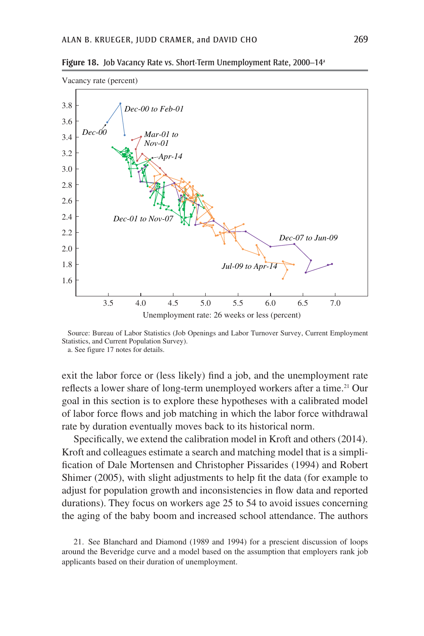

**Figure 18.** Job Vacancy Rate vs. Short-Term Unemployment Rate, 2000–14a

Source: Bureau of Labor Statistics (Job Openings and Labor Turnover Survey, Current Employment Statistics, and Current Population Survey). a. See figure 17 notes for details.

exit the labor force or (less likely) find a job, and the unemployment rate reflects a lower share of long-term unemployed workers after a time.<sup>21</sup> Our goal in this section is to explore these hypotheses with a calibrated model of labor force flows and job matching in which the labor force withdrawal rate by duration eventually moves back to its historical norm.

Specifically, we extend the calibration model in Kroft and others (2014). Kroft and colleagues estimate a search and matching model that is a simplification of Dale Mortensen and Christopher Pissarides (1994) and Robert Shimer (2005), with slight adjustments to help fit the data (for example to adjust for population growth and inconsistencies in flow data and reported durations). They focus on workers age 25 to 54 to avoid issues concerning the aging of the baby boom and increased school attendance. The authors

<sup>21.</sup> See Blanchard and Diamond (1989 and 1994) for a prescient discussion of loops around the Beveridge curve and a model based on the assumption that employers rank job applicants based on their duration of unemployment.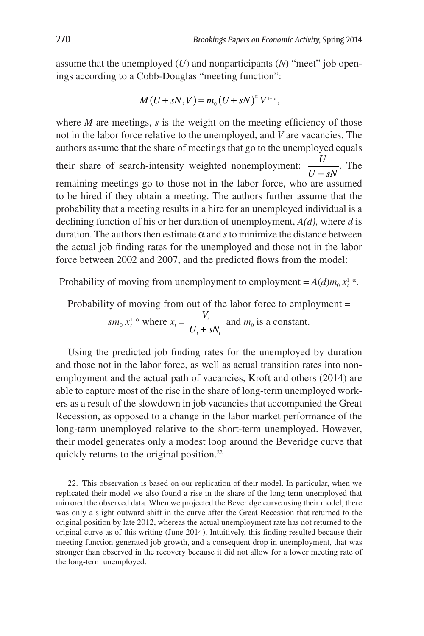assume that the unemployed (*U*) and nonparticipants (*N*) "meet" job openings according to a Cobb-Douglas "meeting function":

$$
M(U+sN,V)=m_{0}(U+sN)^{\alpha}V^{1-\alpha},
$$

where *M* are meetings, *s* is the weight on the meeting efficiency of those not in the labor force relative to the unemployed, and *V* are vacancies. The authors assume that the share of meetings that go to the unemployed equals their share of search-intensity weighted nonemployment:  $\frac{U}{V}$  $\frac{C}{U + sN}$ . The remaining meetings go to those not in the labor force, who are assumed to be hired if they obtain a meeting. The authors further assume that the probability that a meeting results in a hire for an unemployed individual is a declining function of his or her duration of unemployment, *A(d),* where *d* is duration. The authors then estimate  $\alpha$  and  $s$  to minimize the distance between the actual job finding rates for the unemployed and those not in the labor force between 2002 and 2007, and the predicted flows from the model:

Probability of moving from unemployment to employment =  $A(d)m_0 x_t^{1-\alpha}$ .

Probability of moving from out of the labor force to employment =  $sm_0 x_t^{1-\alpha}$  where  $x_t = \frac{V_0}{U_t + \alpha}$  $U_t + sN$ *t*  $\frac{V_t}{I_t + sN_t}$  and  $m_0$  is a constant.

Using the predicted job finding rates for the unemployed by duration and those not in the labor force, as well as actual transition rates into nonemployment and the actual path of vacancies, Kroft and others (2014) are able to capture most of the rise in the share of long-term unemployed workers as a result of the slowdown in job vacancies that accompanied the Great Recession, as opposed to a change in the labor market performance of the long-term unemployed relative to the short-term unemployed. However, their model generates only a modest loop around the Beveridge curve that quickly returns to the original position.22

22. This observation is based on our replication of their model. In particular, when we replicated their model we also found a rise in the share of the long-term unemployed that mirrored the observed data. When we projected the Beveridge curve using their model, there was only a slight outward shift in the curve after the Great Recession that returned to the original position by late 2012, whereas the actual unemployment rate has not returned to the original curve as of this writing (June 2014). Intuitively, this finding resulted because their meeting function generated job growth, and a consequent drop in unemployment, that was stronger than observed in the recovery because it did not allow for a lower meeting rate of the long-term unemployed.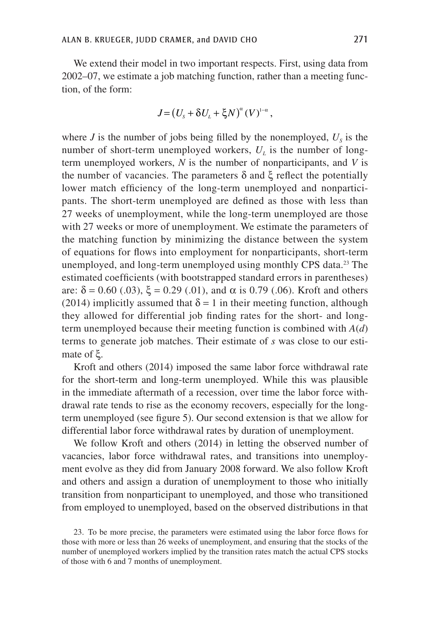We extend their model in two important respects. First, using data from 2002–07, we estimate a job matching function, rather than a meeting function, of the form:

$$
J=(U_s+\delta U_L+\xi N)^{\alpha}(V)^{1-\alpha},
$$

where *J* is the number of jobs being filled by the nonemployed,  $U_s$  is the number of short-term unemployed workers,  $U<sub>L</sub>$  is the number of longterm unemployed workers, *N* is the number of nonparticipants, and *V* is the number of vacancies. The parameters  $\delta$  and  $\xi$  reflect the potentially lower match efficiency of the long-term unemployed and nonparticipants. The short-term unemployed are defined as those with less than 27 weeks of unemployment, while the long-term unemployed are those with 27 weeks or more of unemployment. We estimate the parameters of the matching function by minimizing the distance between the system of equations for flows into employment for nonparticipants, short-term unemployed, and long-term unemployed using monthly CPS data.<sup>23</sup> The estimated coefficients (with bootstrapped standard errors in parentheses) are:  $\delta = 0.60$  (.03),  $\xi = 0.29$  (.01), and  $\alpha$  is 0.79 (.06). Kroft and others (2014) implicitly assumed that  $\delta = 1$  in their meeting function, although they allowed for differential job finding rates for the short- and longterm unemployed because their meeting function is combined with *A*(*d*) terms to generate job matches. Their estimate of *s* was close to our estimate of  $\xi$ .

Kroft and others (2014) imposed the same labor force withdrawal rate for the short-term and long-term unemployed. While this was plausible in the immediate aftermath of a recession, over time the labor force withdrawal rate tends to rise as the economy recovers, especially for the longterm unemployed (see figure 5). Our second extension is that we allow for differential labor force withdrawal rates by duration of unemployment.

We follow Kroft and others (2014) in letting the observed number of vacancies, labor force withdrawal rates, and transitions into unemployment evolve as they did from January 2008 forward. We also follow Kroft and others and assign a duration of unemployment to those who initially transition from nonparticipant to unemployed, and those who transitioned from employed to unemployed, based on the observed distributions in that

<sup>23.</sup> To be more precise, the parameters were estimated using the labor force flows for those with more or less than 26 weeks of unemployment, and ensuring that the stocks of the number of unemployed workers implied by the transition rates match the actual CPS stocks of those with 6 and 7 months of unemployment.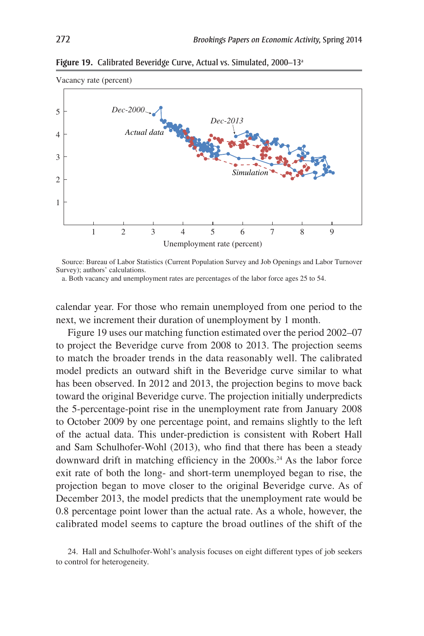

**Figure 19.** Calibrated Beveridge Curve, Actual vs. Simulated, 2000–13a

Source: Bureau of Labor Statistics (Current Population Survey and Job Openings and Labor Turnover Survey); authors' calculations.

a. Both vacancy and unemployment rates are percentages of the labor force ages 25 to 54.

calendar year. For those who remain unemployed from one period to the next, we increment their duration of unemployment by 1 month.

Figure 19 uses our matching function estimated over the period 2002–07 to project the Beveridge curve from 2008 to 2013. The projection seems to match the broader trends in the data reasonably well. The calibrated model predicts an outward shift in the Beveridge curve similar to what has been observed. In 2012 and 2013, the projection begins to move back toward the original Beveridge curve. The projection initially underpredicts the 5-percentage-point rise in the unemployment rate from January 2008 to October 2009 by one percentage point, and remains slightly to the left of the actual data. This under-prediction is consistent with Robert Hall and Sam Schulhofer-Wohl (2013), who find that there has been a steady downward drift in matching efficiency in the 2000s.<sup>24</sup> As the labor force exit rate of both the long- and short-term unemployed began to rise, the projection began to move closer to the original Beveridge curve. As of December 2013, the model predicts that the unemployment rate would be 0.8 percentage point lower than the actual rate. As a whole, however, the calibrated model seems to capture the broad outlines of the shift of the

24. Hall and Schulhofer-Wohl's analysis focuses on eight different types of job seekers to control for heterogeneity.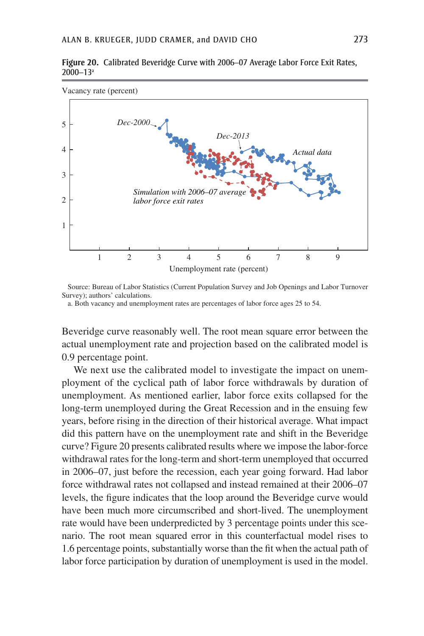

**Figure 20.** Calibrated Beveridge Curve with 2006–07 Average Labor Force Exit Rates, 2000–13a

Source: Bureau of Labor Statistics (Current Population Survey and Job Openings and Labor Turnover Survey); authors' calculations.

a. Both vacancy and unemployment rates are percentages of labor force ages 25 to 54.

Beveridge curve reasonably well. The root mean square error between the actual unemployment rate and projection based on the calibrated model is 0.9 percentage point.

We next use the calibrated model to investigate the impact on unemployment of the cyclical path of labor force withdrawals by duration of unemployment. As mentioned earlier, labor force exits collapsed for the long-term unemployed during the Great Recession and in the ensuing few years, before rising in the direction of their historical average. What impact did this pattern have on the unemployment rate and shift in the Beveridge curve? Figure 20 presents calibrated results where we impose the labor-force withdrawal rates for the long-term and short-term unemployed that occurred in 2006–07, just before the recession, each year going forward. Had labor force withdrawal rates not collapsed and instead remained at their 2006–07 levels, the figure indicates that the loop around the Beveridge curve would have been much more circumscribed and short-lived. The unemployment rate would have been underpredicted by 3 percentage points under this scenario. The root mean squared error in this counterfactual model rises to 1.6 percentage points, substantially worse than the fit when the actual path of labor force participation by duration of unemployment is used in the model.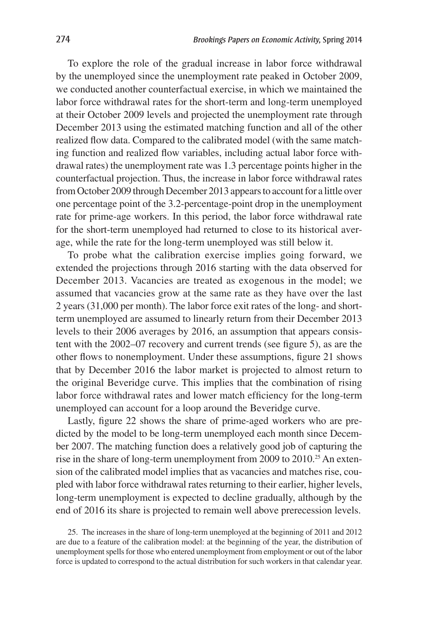To explore the role of the gradual increase in labor force withdrawal by the unemployed since the unemployment rate peaked in October 2009, we conducted another counterfactual exercise, in which we maintained the labor force withdrawal rates for the short-term and long-term unemployed at their October 2009 levels and projected the unemployment rate through December 2013 using the estimated matching function and all of the other realized flow data. Compared to the calibrated model (with the same matching function and realized flow variables, including actual labor force withdrawal rates) the unemployment rate was 1.3 percentage points higher in the counterfactual projection. Thus, the increase in labor force withdrawal rates from October 2009 through December 2013 appears to account for a little over one percentage point of the 3.2-percentage-point drop in the unemployment rate for prime-age workers. In this period, the labor force withdrawal rate for the short-term unemployed had returned to close to its historical average, while the rate for the long-term unemployed was still below it.

To probe what the calibration exercise implies going forward, we extended the projections through 2016 starting with the data observed for December 2013. Vacancies are treated as exogenous in the model; we assumed that vacancies grow at the same rate as they have over the last 2 years (31,000 per month). The labor force exit rates of the long- and shortterm unemployed are assumed to linearly return from their December 2013 levels to their 2006 averages by 2016, an assumption that appears consistent with the 2002–07 recovery and current trends (see figure 5), as are the other flows to nonemployment. Under these assumptions, figure 21 shows that by December 2016 the labor market is projected to almost return to the original Beveridge curve. This implies that the combination of rising labor force withdrawal rates and lower match efficiency for the long-term unemployed can account for a loop around the Beveridge curve.

Lastly, figure 22 shows the share of prime-aged workers who are predicted by the model to be long-term unemployed each month since December 2007. The matching function does a relatively good job of capturing the rise in the share of long-term unemployment from 2009 to 2010.<sup>25</sup> An extension of the calibrated model implies that as vacancies and matches rise, coupled with labor force withdrawal rates returning to their earlier, higher levels, long-term unemployment is expected to decline gradually, although by the end of 2016 its share is projected to remain well above prerecession levels.

25. The increases in the share of long-term unemployed at the beginning of 2011 and 2012 are due to a feature of the calibration model: at the beginning of the year, the distribution of unemployment spells for those who entered unemployment from employment or out of the labor force is updated to correspond to the actual distribution for such workers in that calendar year.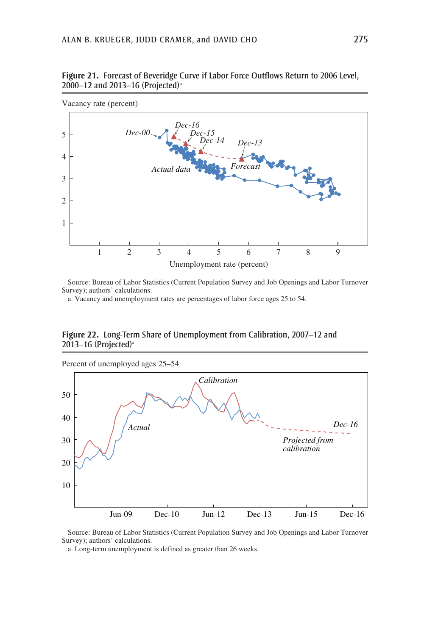

**Figure 21.** Forecast of Beveridge Curve if Labor Force Outflows Return to 2006 Level, 2000–12 and 2013–16 (Projected)a

Source: Bureau of Labor Statistics (Current Population Survey and Job Openings and Labor Turnover Survey); authors' calculations.

a. Vacancy and unemployment rates are percentages of labor force ages 25 to 54.

### **Figure 22.** Long-Term Share of Unemployment from Calibration, 2007–12 and 2013–16 (Projected)a



Source: Bureau of Labor Statistics (Current Population Survey and Job Openings and Labor Turnover Survey); authors' calculations.

a. Long-term unemployment is defined as greater than 26 weeks.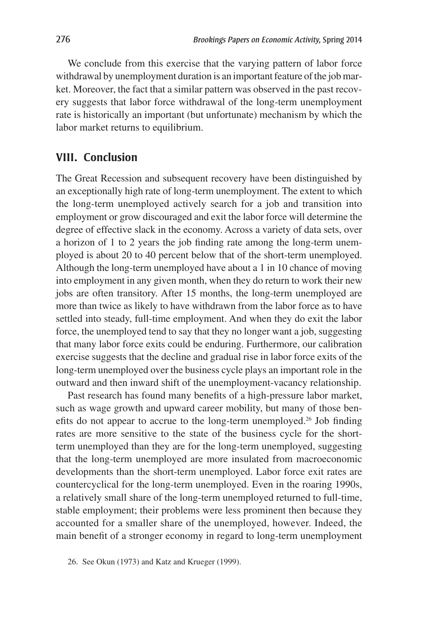We conclude from this exercise that the varying pattern of labor force withdrawal by unemployment duration is an important feature of the job market. Moreover, the fact that a similar pattern was observed in the past recovery suggests that labor force withdrawal of the long-term unemployment rate is historically an important (but unfortunate) mechanism by which the labor market returns to equilibrium.

## **VIII. Conclusion**

The Great Recession and subsequent recovery have been distinguished by an exceptionally high rate of long-term unemployment. The extent to which the long-term unemployed actively search for a job and transition into employment or grow discouraged and exit the labor force will determine the degree of effective slack in the economy. Across a variety of data sets, over a horizon of 1 to 2 years the job finding rate among the long-term unemployed is about 20 to 40 percent below that of the short-term unemployed. Although the long-term unemployed have about a 1 in 10 chance of moving into employment in any given month, when they do return to work their new jobs are often transitory. After 15 months, the long-term unemployed are more than twice as likely to have withdrawn from the labor force as to have settled into steady, full-time employment. And when they do exit the labor force, the unemployed tend to say that they no longer want a job, suggesting that many labor force exits could be enduring. Furthermore, our calibration exercise suggests that the decline and gradual rise in labor force exits of the long-term unemployed over the business cycle plays an important role in the outward and then inward shift of the unemployment-vacancy relationship.

Past research has found many benefits of a high-pressure labor market, such as wage growth and upward career mobility, but many of those benefits do not appear to accrue to the long-term unemployed.26 Job finding rates are more sensitive to the state of the business cycle for the shortterm unemployed than they are for the long-term unemployed, suggesting that the long-term unemployed are more insulated from macroeconomic developments than the short-term unemployed. Labor force exit rates are countercyclical for the long-term unemployed. Even in the roaring 1990s, a relatively small share of the long-term unemployed returned to full-time, stable employment; their problems were less prominent then because they accounted for a smaller share of the unemployed, however. Indeed, the main benefit of a stronger economy in regard to long-term unemployment

<sup>26.</sup> See Okun (1973) and Katz and Krueger (1999).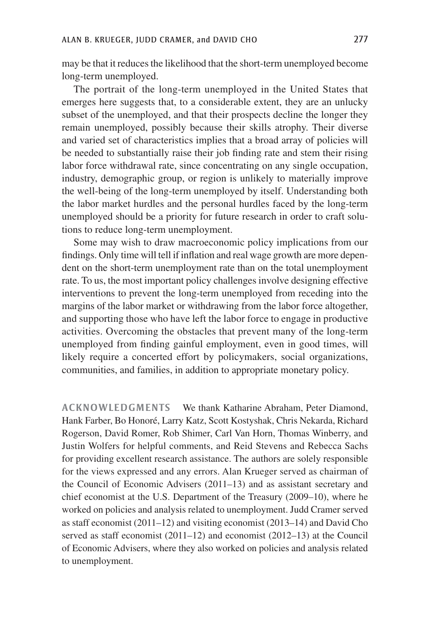may be that it reduces the likelihood that the short-term unemployed become long-term unemployed.

The portrait of the long-term unemployed in the United States that emerges here suggests that, to a considerable extent, they are an unlucky subset of the unemployed, and that their prospects decline the longer they remain unemployed, possibly because their skills atrophy. Their diverse and varied set of characteristics implies that a broad array of policies will be needed to substantially raise their job finding rate and stem their rising labor force withdrawal rate, since concentrating on any single occupation, industry, demographic group, or region is unlikely to materially improve the well-being of the long-term unemployed by itself. Understanding both the labor market hurdles and the personal hurdles faced by the long-term unemployed should be a priority for future research in order to craft solutions to reduce long-term unemployment.

Some may wish to draw macroeconomic policy implications from our findings. Only time will tell if inflation and real wage growth are more dependent on the short-term unemployment rate than on the total unemployment rate. To us, the most important policy challenges involve designing effective interventions to prevent the long-term unemployed from receding into the margins of the labor market or withdrawing from the labor force altogether, and supporting those who have left the labor force to engage in productive activities. Overcoming the obstacles that prevent many of the long-term unemployed from finding gainful employment, even in good times, will likely require a concerted effort by policymakers, social organizations, communities, and families, in addition to appropriate monetary policy.

**ACKNOWLEDGMENTS** We thank Katharine Abraham, Peter Diamond, Hank Farber, Bo Honoré, Larry Katz, Scott Kostyshak, Chris Nekarda, Richard Rogerson, David Romer, Rob Shimer, Carl Van Horn, Thomas Winberry, and Justin Wolfers for helpful comments, and Reid Stevens and Rebecca Sachs for providing excellent research assistance. The authors are solely responsible for the views expressed and any errors. Alan Krueger served as chairman of the Council of Economic Advisers (2011–13) and as assistant secretary and chief economist at the U.S. Department of the Treasury (2009–10), where he worked on policies and analysis related to unemployment. Judd Cramer served as staff economist (2011–12) and visiting economist (2013–14) and David Cho served as staff economist (2011–12) and economist (2012–13) at the Council of Economic Advisers, where they also worked on policies and analysis related to unemployment.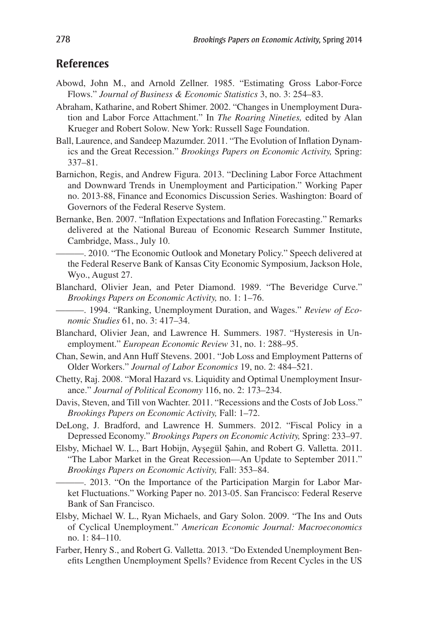## **References**

- Abowd, John M., and Arnold Zellner. 1985. "Estimating Gross Labor-Force Flows." *Journal of Business & Economic Statistics* 3, no. 3: 254–83.
- Abraham, Katharine, and Robert Shimer. 2002. "Changes in Unemployment Duration and Labor Force Attachment." In *The Roaring Nineties,* edited by Alan Krueger and Robert Solow. New York: Russell Sage Foundation.
- Ball, Laurence, and Sandeep Mazumder. 2011. "The Evolution of Inflation Dynamics and the Great Recession." *Brookings Papers on Economic Activity,* Spring: 337–81.
- Barnichon, Regis, and Andrew Figura. 2013. "Declining Labor Force Attachment and Downward Trends in Unemployment and Participation." Working Paper no. 2013-88, Finance and Economics Discussion Series. Washington: Board of Governors of the Federal Reserve System.
- Bernanke, Ben. 2007. "Inflation Expectations and Inflation Forecasting." Remarks delivered at the National Bureau of Economic Research Summer Institute, Cambridge, Mass., July 10.
- ———. 2010. "The Economic Outlook and Monetary Policy." Speech delivered at the Federal Reserve Bank of Kansas City Economic Symposium, Jackson Hole, Wyo., August 27.
- Blanchard, Olivier Jean, and Peter Diamond. 1989. "The Beveridge Curve." *Brookings Papers on Economic Activity,* no. 1: 1–76.
- ———. 1994. "Ranking, Unemployment Duration, and Wages." *Review of Economic Studies* 61, no. 3: 417–34.
- Blanchard, Olivier Jean, and Lawrence H. Summers. 1987. "Hysteresis in Unemployment." *European Economic Review* 31, no. 1: 288–95.
- Chan, Sewin, and Ann Huff Stevens. 2001. "Job Loss and Employment Patterns of Older Workers." *Journal of Labor Economics* 19, no. 2: 484–521.
- Chetty, Raj. 2008. "Moral Hazard vs. Liquidity and Optimal Unemployment Insurance." *Journal of Political Economy* 116, no. 2: 173–234.
- Davis, Steven, and Till von Wachter. 2011. "Recessions and the Costs of Job Loss." *Brookings Papers on Economic Activity,* Fall: 1–72.
- DeLong, J. Bradford, and Lawrence H. Summers. 2012. "Fiscal Policy in a Depressed Economy." *Brookings Papers on Economic Activity,* Spring: 233–97.
- Elsby, Michael W. L., Bart Hobijn, Aysegül Sahin, and Robert G. Valletta. 2011. "The Labor Market in the Great Recession—An Update to September 2011." *Brookings Papers on Economic Activity,* Fall: 353–84.

———. 2013. "On the Importance of the Participation Margin for Labor Market Fluctuations." Working Paper no. 2013-05. San Francisco: Federal Reserve Bank of San Francisco.

- Elsby, Michael W. L., Ryan Michaels, and Gary Solon. 2009. "The Ins and Outs of Cyclical Unemployment." *American Economic Journal: Macroeconomics* no. 1: 84–110.
- Farber, Henry S., and Robert G. Valletta. 2013. "Do Extended Unemployment Benefits Lengthen Unemployment Spells? Evidence from Recent Cycles in the US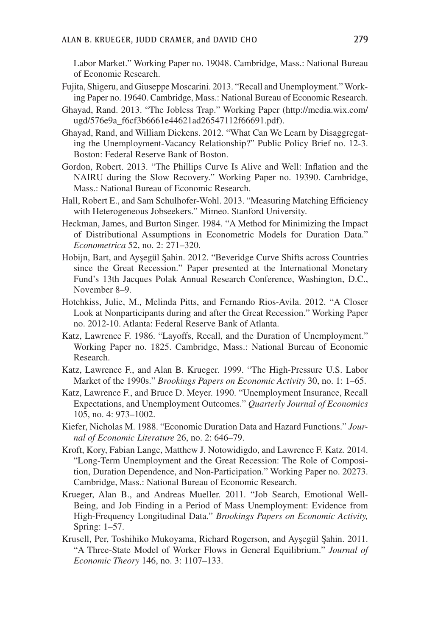Labor Market." Working Paper no. 19048. Cambridge, Mass.: National Bureau of Economic Research.

- Fujita, Shigeru, and Giuseppe Moscarini. 2013. "Recall and Unemployment." Working Paper no. 19640. Cambridge, Mass.: National Bureau of Economic Research.
- Ghayad, Rand. 2013. "The Jobless Trap." Working Paper (http://media.wix.com/ ugd/576e9a\_f6cf3b6661e44621ad26547112f66691.pdf).
- Ghayad, Rand, and William Dickens. 2012. "What Can We Learn by Disaggregating the Unemployment-Vacancy Relationship?" Public Policy Brief no. 12-3. Boston: Federal Reserve Bank of Boston.
- Gordon, Robert. 2013. "The Phillips Curve Is Alive and Well: Inflation and the NAIRU during the Slow Recovery." Working Paper no. 19390. Cambridge, Mass.: National Bureau of Economic Research.
- Hall, Robert E., and Sam Schulhofer-Wohl. 2013. "Measuring Matching Efficiency with Heterogeneous Jobseekers." Mimeo. Stanford University.
- Heckman, James, and Burton Singer. 1984. "A Method for Minimizing the Impact of Distributional Assumptions in Econometric Models for Duration Data." *Econometrica* 52, no. 2: 271–320.
- Hobijn, Bart, and Ayşegül Şahin. 2012. "Beveridge Curve Shifts across Countries since the Great Recession." Paper presented at the International Monetary Fund's 13th Jacques Polak Annual Research Conference, Washington, D.C., November 8–9.
- Hotchkiss, Julie, M., Melinda Pitts, and Fernando Rios-Avila. 2012. "A Closer Look at Nonparticipants during and after the Great Recession." Working Paper no. 2012-10. Atlanta: Federal Reserve Bank of Atlanta.
- Katz, Lawrence F. 1986. "Layoffs, Recall, and the Duration of Unemployment." Working Paper no. 1825. Cambridge, Mass.: National Bureau of Economic Research.
- Katz, Lawrence F., and Alan B. Krueger. 1999. "The High-Pressure U.S. Labor Market of the 1990s." *Brookings Papers on Economic Activity* 30, no. 1: 1–65.
- Katz, Lawrence F., and Bruce D. Meyer. 1990. "Unemployment Insurance, Recall Expectations, and Unemployment Outcomes." *Quarterly Journal of Economics* 105, no. 4: 973–1002.
- Kiefer, Nicholas M. 1988. "Economic Duration Data and Hazard Functions." *Journal of Economic Literature* 26, no. 2: 646–79.
- Kroft, Kory, Fabian Lange, Matthew J. Notowidigdo, and Lawrence F. Katz. 2014. "Long-Term Unemployment and the Great Recession: The Role of Composition, Duration Dependence, and Non-Participation." Working Paper no. 20273. Cambridge, Mass.: National Bureau of Economic Research.
- Krueger, Alan B., and Andreas Mueller. 2011. "Job Search, Emotional Well-Being, and Job Finding in a Period of Mass Unemployment: Evidence from High-Frequency Longitudinal Data." *Brookings Papers on Economic Activity,* Spring: 1–57.
- Krusell, Per, Toshihiko Mukoyama, Richard Rogerson, and Ayşegül Şahin. 2011. "A Three-State Model of Worker Flows in General Equilibrium." *Journal of Economic Theory* 146, no. 3: 1107–133.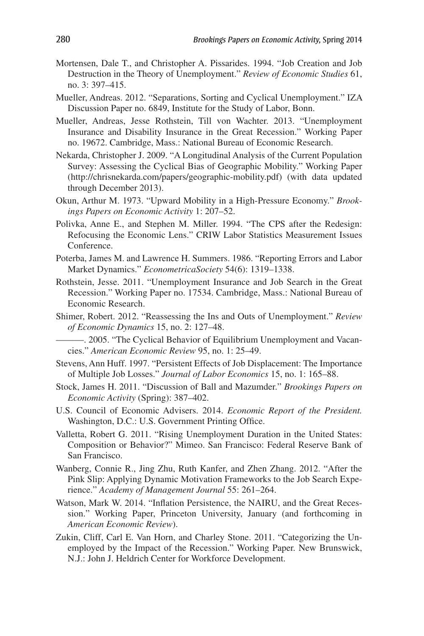- Mortensen, Dale T., and Christopher A. Pissarides. 1994. "Job Creation and Job Destruction in the Theory of Unemployment." *Review of Economic Studies* 61, no. 3: 397–415.
- Mueller, Andreas. 2012. "Separations, Sorting and Cyclical Unemployment." IZA Discussion Paper no. 6849, Institute for the Study of Labor, Bonn.
- Mueller, Andreas, Jesse Rothstein, Till von Wachter. 2013. "Unemployment Insurance and Disability Insurance in the Great Recession." Working Paper no. 19672. Cambridge, Mass.: National Bureau of Economic Research.
- Nekarda, Christopher J. 2009. "A Longitudinal Analysis of the Current Population Survey: Assessing the Cyclical Bias of Geographic Mobility." Working Paper (http://chrisnekarda.com/papers/geographic-mobility.pdf) (with data updated through December 2013).
- Okun, Arthur M. 1973. "Upward Mobility in a High-Pressure Economy." *Brookings Papers on Economic Activity* 1: 207–52.
- Polivka, Anne E., and Stephen M. Miller. 1994. "The CPS after the Redesign: Refocusing the Economic Lens." CRIW Labor Statistics Measurement Issues Conference.
- Poterba, James M. and Lawrence H. Summers. 1986. "Reporting Errors and Labor Market Dynamics." *EconometricaSociety* 54(6): 1319–1338.
- Rothstein, Jesse. 2011. "Unemployment Insurance and Job Search in the Great Recession." Working Paper no. 17534. Cambridge, Mass.: National Bureau of Economic Research.
- Shimer, Robert. 2012. "Reassessing the Ins and Outs of Unemployment." *Review of Economic Dynamics* 15, no. 2: 127–48.

———. 2005. "The Cyclical Behavior of Equilibrium Unemployment and Vacancies." *American Economic Review* 95, no. 1: 25–49.

- Stevens, Ann Huff. 1997. "Persistent Effects of Job Displacement: The Importance of Multiple Job Losses." *Journal of Labor Economics* 15, no. 1: 165–88.
- Stock, James H. 2011. "Discussion of Ball and Mazumder." *Brookings Papers on Economic Activity* (Spring): 387–402.
- U.S. Council of Economic Advisers. 2014. *Economic Report of the President.* Washington, D.C.: U.S. Government Printing Office.
- Valletta, Robert G. 2011. "Rising Unemployment Duration in the United States: Composition or Behavior?" Mimeo. San Francisco: Federal Reserve Bank of San Francisco.
- Wanberg, Connie R., Jing Zhu, Ruth Kanfer, and Zhen Zhang. 2012. "After the Pink Slip: Applying Dynamic Motivation Frameworks to the Job Search Experience." *Academy of Management Journal* 55: 261–264.
- Watson, Mark W. 2014. "Inflation Persistence, the NAIRU, and the Great Recession." Working Paper, Princeton University, January (and forthcoming in *American Economic Review*).
- Zukin, Cliff, Carl E. Van Horn, and Charley Stone. 2011. "Categorizing the Unemployed by the Impact of the Recession." Working Paper. New Brunswick, N.J.: John J. Heldrich Center for Workforce Development.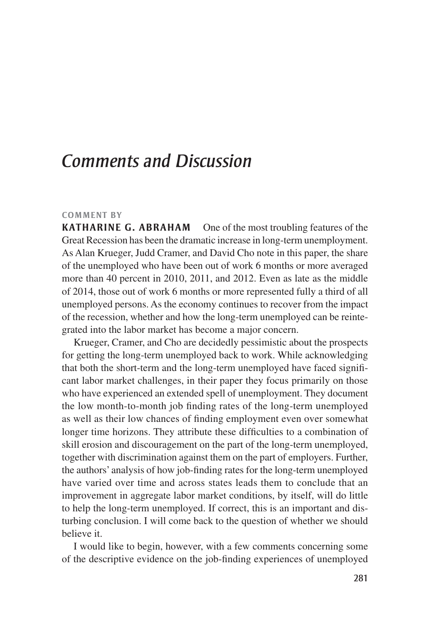# *Comments and Discussion*

## **Comment By**

**KATHARINE G. ABRAHAM** One of the most troubling features of the Great Recession has been the dramatic increase in long-term unemployment. As Alan Krueger, Judd Cramer, and David Cho note in this paper, the share of the unemployed who have been out of work 6 months or more averaged more than 40 percent in 2010, 2011, and 2012. Even as late as the middle of 2014, those out of work 6 months or more represented fully a third of all unemployed persons. As the economy continues to recover from the impact of the recession, whether and how the long-term unemployed can be reintegrated into the labor market has become a major concern.

Krueger, Cramer, and Cho are decidedly pessimistic about the prospects for getting the long-term unemployed back to work. While acknowledging that both the short-term and the long-term unemployed have faced significant labor market challenges, in their paper they focus primarily on those who have experienced an extended spell of unemployment. They document the low month-to-month job finding rates of the long-term unemployed as well as their low chances of finding employment even over somewhat longer time horizons. They attribute these difficulties to a combination of skill erosion and discouragement on the part of the long-term unemployed, together with discrimination against them on the part of employers. Further, the authors' analysis of how job-finding rates for the long-term unemployed have varied over time and across states leads them to conclude that an improvement in aggregate labor market conditions, by itself, will do little to help the long-term unemployed. If correct, this is an important and disturbing conclusion. I will come back to the question of whether we should believe it.

I would like to begin, however, with a few comments concerning some of the descriptive evidence on the job-finding experiences of unemployed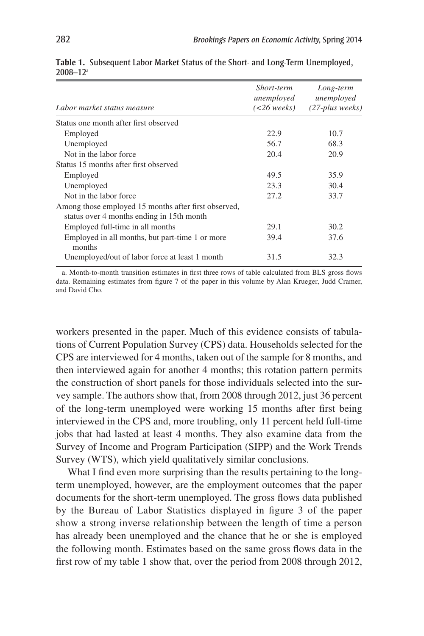| Labor market status measure                                                                       | Short-term<br>unemployed<br>$(<$ 26 weeks) | Long-term<br>unemployed<br>$(27$ -plus weeks) |
|---------------------------------------------------------------------------------------------------|--------------------------------------------|-----------------------------------------------|
| Status one month after first observed                                                             |                                            |                                               |
| Employed                                                                                          | 22.9                                       | 10.7                                          |
| Unemployed                                                                                        | 56.7                                       | 68.3                                          |
| Not in the labor force.                                                                           | 20.4                                       | 20.9                                          |
| Status 15 months after first observed                                                             |                                            |                                               |
| Employed                                                                                          | 49.5                                       | 35.9                                          |
| Unemployed                                                                                        | 23.3                                       | 30.4                                          |
| Not in the labor force.                                                                           | 27.2                                       | 33.7                                          |
| Among those employed 15 months after first observed,<br>status over 4 months ending in 15th month |                                            |                                               |
| Employed full-time in all months                                                                  | 29.1                                       | 30.2                                          |
| Employed in all months, but part-time 1 or more<br>months                                         | 39.4                                       | 37.6                                          |
| Unemployed/out of labor force at least 1 month                                                    | 31.5                                       | 32.3                                          |

**Table 1.** Subsequent Labor Market Status of the Short- and Long-Term Unemployed, 2008–12a

a. Month-to-month transition estimates in first three rows of table calculated from BLS gross flows data. Remaining estimates from figure 7 of the paper in this volume by Alan Krueger, Judd Cramer, and David Cho.

workers presented in the paper. Much of this evidence consists of tabulations of Current Population Survey (CPS) data. Households selected for the CPS are interviewed for 4 months, taken out of the sample for 8 months, and then interviewed again for another 4 months; this rotation pattern permits the construction of short panels for those individuals selected into the survey sample. The authors show that, from 2008 through 2012, just 36 percent of the long-term unemployed were working 15 months after first being interviewed in the CPS and, more troubling, only 11 percent held full-time jobs that had lasted at least 4 months. They also examine data from the Survey of Income and Program Participation (SIPP) and the Work Trends Survey (WTS), which yield qualitatively similar conclusions.

What I find even more surprising than the results pertaining to the longterm unemployed, however, are the employment outcomes that the paper documents for the short-term unemployed. The gross flows data published by the Bureau of Labor Statistics displayed in figure 3 of the paper show a strong inverse relationship between the length of time a person has already been unemployed and the chance that he or she is employed the following month. Estimates based on the same gross flows data in the first row of my table 1 show that, over the period from 2008 through 2012,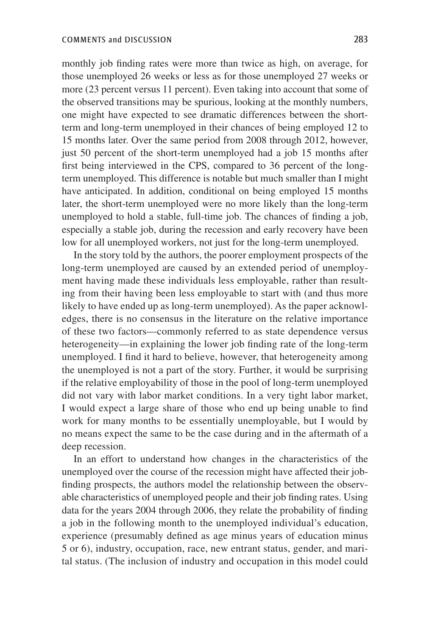monthly job finding rates were more than twice as high, on average, for those unemployed 26 weeks or less as for those unemployed 27 weeks or more (23 percent versus 11 percent). Even taking into account that some of the observed transitions may be spurious, looking at the monthly numbers, one might have expected to see dramatic differences between the shortterm and long-term unemployed in their chances of being employed 12 to 15 months later. Over the same period from 2008 through 2012, however, just 50 percent of the short-term unemployed had a job 15 months after first being interviewed in the CPS, compared to 36 percent of the longterm unemployed. This difference is notable but much smaller than I might have anticipated. In addition, conditional on being employed 15 months later, the short-term unemployed were no more likely than the long-term unemployed to hold a stable, full-time job. The chances of finding a job, especially a stable job, during the recession and early recovery have been low for all unemployed workers, not just for the long-term unemployed.

In the story told by the authors, the poorer employment prospects of the long-term unemployed are caused by an extended period of unemployment having made these individuals less employable, rather than resulting from their having been less employable to start with (and thus more likely to have ended up as long-term unemployed). As the paper acknowledges, there is no consensus in the literature on the relative importance of these two factors—commonly referred to as state dependence versus heterogeneity—in explaining the lower job finding rate of the long-term unemployed. I find it hard to believe, however, that heterogeneity among the unemployed is not a part of the story. Further, it would be surprising if the relative employability of those in the pool of long-term unemployed did not vary with labor market conditions. In a very tight labor market, I would expect a large share of those who end up being unable to find work for many months to be essentially unemployable, but I would by no means expect the same to be the case during and in the aftermath of a deep recession.

In an effort to understand how changes in the characteristics of the unemployed over the course of the recession might have affected their jobfinding prospects, the authors model the relationship between the observable characteristics of unemployed people and their job finding rates. Using data for the years 2004 through 2006, they relate the probability of finding a job in the following month to the unemployed individual's education, experience (presumably defined as age minus years of education minus 5 or 6), industry, occupation, race, new entrant status, gender, and marital status. (The inclusion of industry and occupation in this model could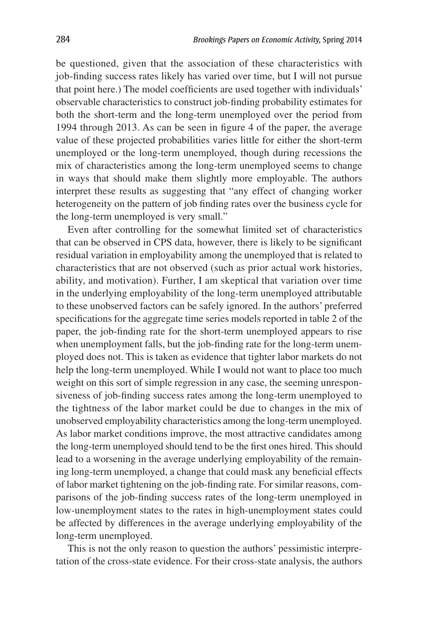be questioned, given that the association of these characteristics with job-finding success rates likely has varied over time, but I will not pursue that point here.) The model coefficients are used together with individuals' observable characteristics to construct job-finding probability estimates for both the short-term and the long-term unemployed over the period from 1994 through 2013. As can be seen in figure 4 of the paper, the average value of these projected probabilities varies little for either the short-term unemployed or the long-term unemployed, though during recessions the mix of characteristics among the long-term unemployed seems to change in ways that should make them slightly more employable. The authors interpret these results as suggesting that "any effect of changing worker heterogeneity on the pattern of job finding rates over the business cycle for the long-term unemployed is very small."

Even after controlling for the somewhat limited set of characteristics that can be observed in CPS data, however, there is likely to be significant residual variation in employability among the unemployed that is related to characteristics that are not observed (such as prior actual work histories, ability, and motivation). Further, I am skeptical that variation over time in the underlying employability of the long-term unemployed attributable to these unobserved factors can be safely ignored. In the authors' preferred specifications for the aggregate time series models reported in table 2 of the paper, the job-finding rate for the short-term unemployed appears to rise when unemployment falls, but the job-finding rate for the long-term unemployed does not. This is taken as evidence that tighter labor markets do not help the long-term unemployed. While I would not want to place too much weight on this sort of simple regression in any case, the seeming unresponsiveness of job-finding success rates among the long-term unemployed to the tightness of the labor market could be due to changes in the mix of unobserved employability characteristics among the long-term unemployed. As labor market conditions improve, the most attractive candidates among the long-term unemployed should tend to be the first ones hired. This should lead to a worsening in the average underlying employability of the remaining long-term unemployed, a change that could mask any beneficial effects of labor market tightening on the job-finding rate. For similar reasons, comparisons of the job-finding success rates of the long-term unemployed in low-unemployment states to the rates in high-unemployment states could be affected by differences in the average underlying employability of the long-term unemployed.

This is not the only reason to question the authors' pessimistic interpretation of the cross-state evidence. For their cross-state analysis, the authors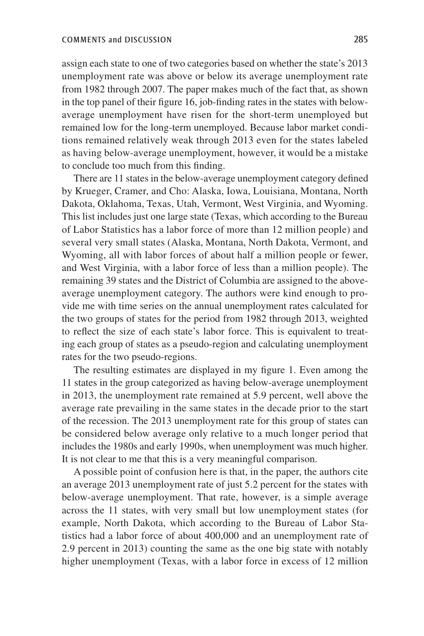assign each state to one of two categories based on whether the state's 2013 unemployment rate was above or below its average unemployment rate from 1982 through 2007. The paper makes much of the fact that, as shown in the top panel of their figure 16, job-finding rates in the states with belowaverage unemployment have risen for the short-term unemployed but remained low for the long-term unemployed. Because labor market conditions remained relatively weak through 2013 even for the states labeled as having below-average unemployment, however, it would be a mistake to conclude too much from this finding.

There are 11 states in the below-average unemployment category defined by Krueger, Cramer, and Cho: Alaska, Iowa, Louisiana, Montana, North Dakota, Oklahoma, Texas, Utah, Vermont, West Virginia, and Wyoming. This list includes just one large state (Texas, which according to the Bureau of Labor Statistics has a labor force of more than 12 million people) and several very small states (Alaska, Montana, North Dakota, Vermont, and Wyoming, all with labor forces of about half a million people or fewer, and West Virginia, with a labor force of less than a million people). The remaining 39 states and the District of Columbia are assigned to the aboveaverage unemployment category. The authors were kind enough to provide me with time series on the annual unemployment rates calculated for the two groups of states for the period from 1982 through 2013, weighted to reflect the size of each state's labor force. This is equivalent to treating each group of states as a pseudo-region and calculating unemployment rates for the two pseudo-regions.

The resulting estimates are displayed in my figure 1. Even among the 11 states in the group categorized as having below-average unemployment in 2013, the unemployment rate remained at 5.9 percent, well above the average rate prevailing in the same states in the decade prior to the start of the recession. The 2013 unemployment rate for this group of states can be considered below average only relative to a much longer period that includes the 1980s and early 1990s, when unemployment was much higher. It is not clear to me that this is a very meaningful comparison.

A possible point of confusion here is that, in the paper, the authors cite an average 2013 unemployment rate of just 5.2 percent for the states with below-average unemployment. That rate, however, is a simple average across the 11 states, with very small but low unemployment states (for example, North Dakota, which according to the Bureau of Labor Statistics had a labor force of about 400,000 and an unemployment rate of 2.9 percent in 2013) counting the same as the one big state with notably higher unemployment (Texas, with a labor force in excess of 12 million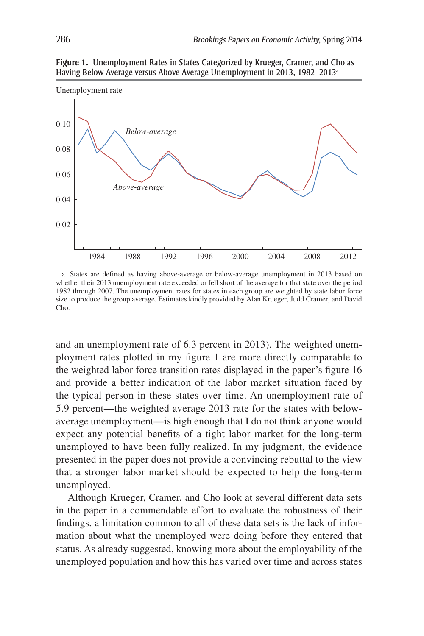

**Figure 1.** Unemployment Rates in States Categorized by Krueger, Cramer, and Cho as Having Below-Average versus Above-Average Unemployment in 2013, 1982–2013a

a. States are defined as having above-average or below-average unemployment in 2013 based on whether their 2013 unemployment rate exceeded or fell short of the average for that state over the period 1982 through 2007. The unemployment rates for states in each group are weighted by state labor force size to produce the group average. Estimates kindly provided by Alan Krueger, Judd Cramer, and David Cho.

and an unemployment rate of 6.3 percent in 2013). The weighted unemployment rates plotted in my figure 1 are more directly comparable to the weighted labor force transition rates displayed in the paper's figure 16 and provide a better indication of the labor market situation faced by the typical person in these states over time. An unemployment rate of 5.9 percent—the weighted average 2013 rate for the states with belowaverage unemployment—is high enough that I do not think anyone would expect any potential benefits of a tight labor market for the long-term unemployed to have been fully realized. In my judgment, the evidence presented in the paper does not provide a convincing rebuttal to the view that a stronger labor market should be expected to help the long-term unemployed.

Although Krueger, Cramer, and Cho look at several different data sets in the paper in a commendable effort to evaluate the robustness of their findings, a limitation common to all of these data sets is the lack of information about what the unemployed were doing before they entered that status. As already suggested, knowing more about the employability of the unemployed population and how this has varied over time and across states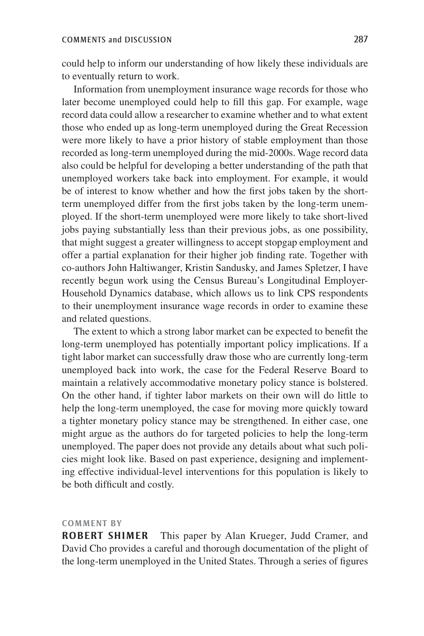could help to inform our understanding of how likely these individuals are to eventually return to work.

Information from unemployment insurance wage records for those who later become unemployed could help to fill this gap. For example, wage record data could allow a researcher to examine whether and to what extent those who ended up as long-term unemployed during the Great Recession were more likely to have a prior history of stable employment than those recorded as long-term unemployed during the mid-2000s. Wage record data also could be helpful for developing a better understanding of the path that unemployed workers take back into employment. For example, it would be of interest to know whether and how the first jobs taken by the shortterm unemployed differ from the first jobs taken by the long-term unemployed. If the short-term unemployed were more likely to take short-lived jobs paying substantially less than their previous jobs, as one possibility, that might suggest a greater willingness to accept stopgap employment and offer a partial explanation for their higher job finding rate. Together with co-authors John Haltiwanger, Kristin Sandusky, and James Spletzer, I have recently begun work using the Census Bureau's Longitudinal Employer-Household Dynamics database, which allows us to link CPS respondents to their unemployment insurance wage records in order to examine these and related questions.

The extent to which a strong labor market can be expected to benefit the long-term unemployed has potentially important policy implications. If a tight labor market can successfully draw those who are currently long-term unemployed back into work, the case for the Federal Reserve Board to maintain a relatively accommodative monetary policy stance is bolstered. On the other hand, if tighter labor markets on their own will do little to help the long-term unemployed, the case for moving more quickly toward a tighter monetary policy stance may be strengthened. In either case, one might argue as the authors do for targeted policies to help the long-term unemployed. The paper does not provide any details about what such policies might look like. Based on past experience, designing and implementing effective individual-level interventions for this population is likely to be both difficult and costly.

#### **Comment By**

**ROBERT SHIMER** This paper by Alan Krueger, Judd Cramer, and David Cho provides a careful and thorough documentation of the plight of the long-term unemployed in the United States. Through a series of figures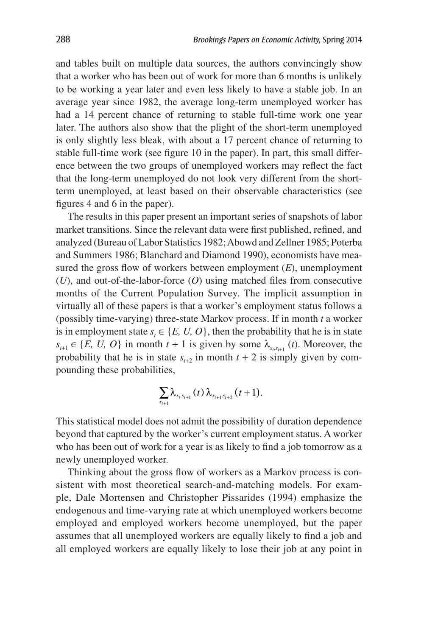and tables built on multiple data sources, the authors convincingly show that a worker who has been out of work for more than 6 months is unlikely to be working a year later and even less likely to have a stable job. In an average year since 1982, the average long-term unemployed worker has had a 14 percent chance of returning to stable full-time work one year later. The authors also show that the plight of the short-term unemployed is only slightly less bleak, with about a 17 percent chance of returning to stable full-time work (see figure 10 in the paper). In part, this small difference between the two groups of unemployed workers may reflect the fact that the long-term unemployed do not look very different from the shortterm unemployed, at least based on their observable characteristics (see figures 4 and 6 in the paper).

The results in this paper present an important series of snapshots of labor market transitions. Since the relevant data were first published, refined, and analyzed (Bureau of Labor Statistics 1982; Abowd and Zellner 1985; Poterba and Summers 1986; Blanchard and Diamond 1990), economists have measured the gross flow of workers between employment (*E*), unemployment (*U*), and out-of-the-labor-force (*O*) using matched files from consecutive months of the Current Population Survey. The implicit assumption in virtually all of these papers is that a worker's employment status follows a (possibly time-varying) three-state Markov process. If in month *t* a worker is in employment state  $s<sub>t</sub> \in \{E, U, O\}$ , then the probability that he is in state *s*<sub>*t*+1</sub> ∈ {*E, U, O*} in month *t* + 1 is given by some  $\lambda_{s_t,s_{t+1}}(t)$ . Moreover, the probability that he is in state  $s_{t+2}$  in month  $t + 2$  is simply given by compounding these probabilities,

$$
\sum_{s_{t+1}} \lambda_{s_{t}, s_{t+1}}(t) \lambda_{s_{t+1}, s_{t+2}}(t+1).
$$

This statistical model does not admit the possibility of duration dependence beyond that captured by the worker's current employment status. A worker who has been out of work for a year is as likely to find a job tomorrow as a newly unemployed worker.

Thinking about the gross flow of workers as a Markov process is consistent with most theoretical search-and-matching models. For example, Dale Mortensen and Christopher Pissarides (1994) emphasize the endogenous and time-varying rate at which unemployed workers become employed and employed workers become unemployed, but the paper assumes that all unemployed workers are equally likely to find a job and all employed workers are equally likely to lose their job at any point in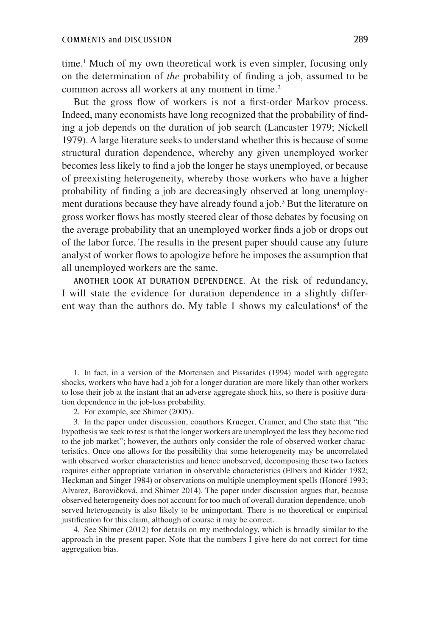time.<sup>1</sup> Much of my own theoretical work is even simpler, focusing only on the determination of *the* probability of finding a job, assumed to be common across all workers at any moment in time.<sup>2</sup>

But the gross flow of workers is not a first-order Markov process. Indeed, many economists have long recognized that the probability of finding a job depends on the duration of job search (Lancaster 1979; Nickell 1979). A large literature seeks to understand whether this is because of some structural duration dependence, whereby any given unemployed worker becomes less likely to find a job the longer he stays unemployed, or because of preexisting heterogeneity, whereby those workers who have a higher probability of finding a job are decreasingly observed at long unemployment durations because they have already found a job.<sup>3</sup> But the literature on gross worker flows has mostly steered clear of those debates by focusing on the average probability that an unemployed worker finds a job or drops out of the labor force. The results in the present paper should cause any future analyst of worker flows to apologize before he imposes the assumption that all unemployed workers are the same.

Another Look at Duration Dependence. At the risk of redundancy, I will state the evidence for duration dependence in a slightly different way than the authors do. My table 1 shows my calculations<sup>4</sup> of the

1. In fact, in a version of the Mortensen and Pissarides (1994) model with aggregate shocks, workers who have had a job for a longer duration are more likely than other workers to lose their job at the instant that an adverse aggregate shock hits, so there is positive duration dependence in the job-loss probability.

2. For example, see Shimer (2005).

3. In the paper under discussion, coauthors Krueger, Cramer, and Cho state that "the hypothesis we seek to test is that the longer workers are unemployed the less they become tied to the job market"; however, the authors only consider the role of observed worker characteristics. Once one allows for the possibility that some heterogeneity may be uncorrelated with observed worker characteristics and hence unobserved, decomposing these two factors requires either appropriate variation in observable characteristics (Elbers and Ridder 1982; Heckman and Singer 1984) or observations on multiple unemployment spells (Honoré 1993; Alvarez, Borovičková, and Shimer 2014). The paper under discussion argues that, because observed heterogeneity does not account for too much of overall duration dependence, unobserved heterogeneity is also likely to be unimportant. There is no theoretical or empirical justification for this claim, although of course it may be correct.

4. See Shimer (2012) for details on my methodology, which is broadly similar to the approach in the present paper. Note that the numbers I give here do not correct for time aggregation bias.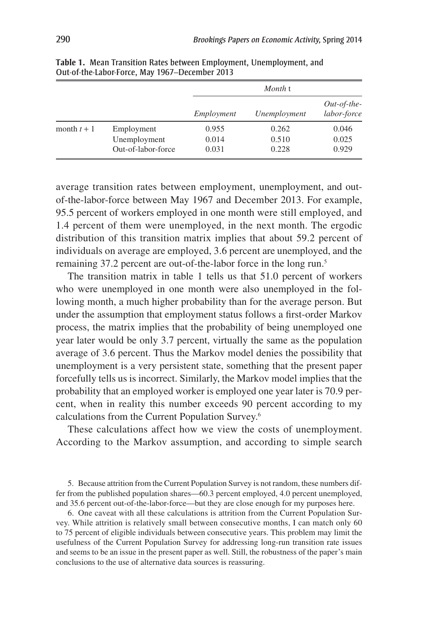|             |                    | Month t    |              |                              |
|-------------|--------------------|------------|--------------|------------------------------|
|             |                    | Employment | Unemployment | $Out-of-the-$<br>labor-force |
| month $t+1$ | Employment         | 0.955      | 0.262        | 0.046                        |
|             | Unemployment       | 0.014      | 0.510        | 0.025                        |
|             | Out-of-labor-force | 0.031      | 0.228        | 0.929                        |

**Table 1.** Mean Transition Rates between Employment, Unemployment, and Out-of-the-Labor-Force, May 1967–December 2013

average transition rates between employment, unemployment, and outof-the-labor-force between May 1967 and December 2013. For example, 95.5 percent of workers employed in one month were still employed, and 1.4 percent of them were unemployed, in the next month. The ergodic distribution of this transition matrix implies that about 59.2 percent of individuals on average are employed, 3.6 percent are unemployed, and the remaining 37.2 percent are out-of-the-labor force in the long run.<sup>5</sup>

The transition matrix in table 1 tells us that 51.0 percent of workers who were unemployed in one month were also unemployed in the following month, a much higher probability than for the average person. But under the assumption that employment status follows a first-order Markov process, the matrix implies that the probability of being unemployed one year later would be only 3.7 percent, virtually the same as the population average of 3.6 percent. Thus the Markov model denies the possibility that unemployment is a very persistent state, something that the present paper forcefully tells us is incorrect. Similarly, the Markov model implies that the probability that an employed worker is employed one year later is 70.9 percent, when in reality this number exceeds 90 percent according to my calculations from the Current Population Survey.6

These calculations affect how we view the costs of unemployment. According to the Markov assumption, and according to simple search

5. Because attrition from the Current Population Survey is not random, these numbers differ from the published population shares—60.3 percent employed, 4.0 percent unemployed, and 35.6 percent out-of-the-labor-force—but they are close enough for my purposes here.

6. One caveat with all these calculations is attrition from the Current Population Survey. While attrition is relatively small between consecutive months, I can match only 60 to 75 percent of eligible individuals between consecutive years. This problem may limit the usefulness of the Current Population Survey for addressing long-run transition rate issues and seems to be an issue in the present paper as well. Still, the robustness of the paper's main conclusions to the use of alternative data sources is reassuring.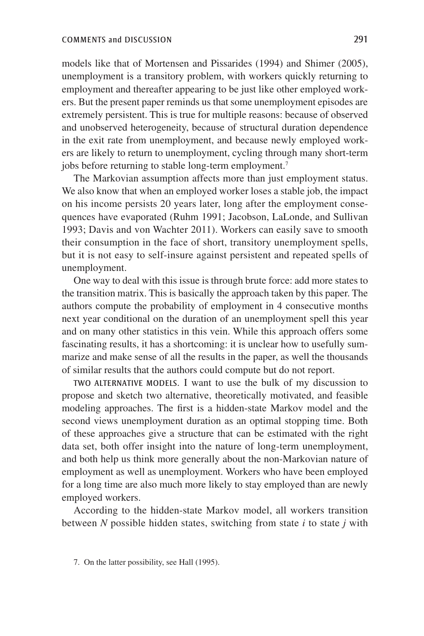models like that of Mortensen and Pissarides (1994) and Shimer (2005), unemployment is a transitory problem, with workers quickly returning to employment and thereafter appearing to be just like other employed workers. But the present paper reminds us that some unemployment episodes are extremely persistent. This is true for multiple reasons: because of observed and unobserved heterogeneity, because of structural duration dependence in the exit rate from unemployment, and because newly employed workers are likely to return to unemployment, cycling through many short-term jobs before returning to stable long-term employment.<sup>7</sup>

The Markovian assumption affects more than just employment status. We also know that when an employed worker loses a stable job, the impact on his income persists 20 years later, long after the employment consequences have evaporated (Ruhm 1991; Jacobson, LaLonde, and Sullivan 1993; Davis and von Wachter 2011). Workers can easily save to smooth their consumption in the face of short, transitory unemployment spells, but it is not easy to self-insure against persistent and repeated spells of unemployment.

One way to deal with this issue is through brute force: add more states to the transition matrix. This is basically the approach taken by this paper. The authors compute the probability of employment in 4 consecutive months next year conditional on the duration of an unemployment spell this year and on many other statistics in this vein. While this approach offers some fascinating results, it has a shortcoming: it is unclear how to usefully summarize and make sense of all the results in the paper, as well the thousands of similar results that the authors could compute but do not report.

Two Alternative Models. I want to use the bulk of my discussion to propose and sketch two alternative, theoretically motivated, and feasible modeling approaches. The first is a hidden-state Markov model and the second views unemployment duration as an optimal stopping time. Both of these approaches give a structure that can be estimated with the right data set, both offer insight into the nature of long-term unemployment, and both help us think more generally about the non-Markovian nature of employment as well as unemployment. Workers who have been employed for a long time are also much more likely to stay employed than are newly employed workers.

According to the hidden-state Markov model, all workers transition between *N* possible hidden states, switching from state *i* to state *j* with

<sup>7.</sup> On the latter possibility, see Hall (1995).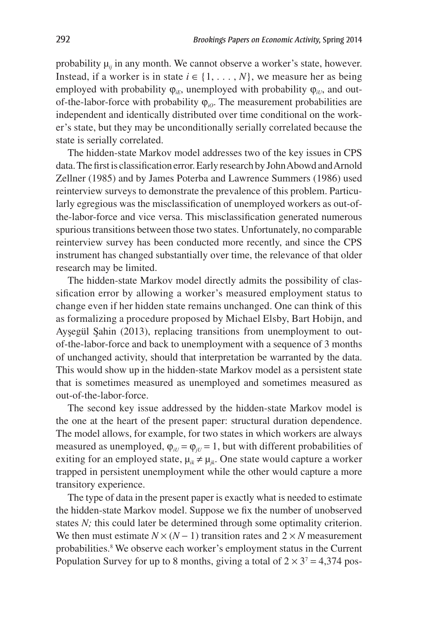probability  $\mu_{ij}$  in any month. We cannot observe a worker's state, however. Instead, if a worker is in state  $i \in \{1, \ldots, N\}$ , we measure her as being employed with probability  $\varphi_{iE}$ , unemployed with probability  $\varphi_{ii}$ , and outof-the-labor-force with probability  $\varphi$ <sub>i</sub>. The measurement probabilities are independent and identically distributed over time conditional on the worker's state, but they may be unconditionally serially correlated because the state is serially correlated.

The hidden-state Markov model addresses two of the key issues in CPS data. The first is classification error. Early research by John Abowd and Arnold Zellner (1985) and by James Poterba and Lawrence Summers (1986) used reinterview surveys to demonstrate the prevalence of this problem. Particularly egregious was the misclassification of unemployed workers as out-ofthe-labor-force and vice versa. This misclassification generated numerous spurious transitions between those two states. Unfortunately, no comparable reinterview survey has been conducted more recently, and since the CPS instrument has changed substantially over time, the relevance of that older research may be limited.

The hidden-state Markov model directly admits the possibility of classification error by allowing a worker's measured employment status to change even if her hidden state remains unchanged. One can think of this as formalizing a procedure proposed by Michael Elsby, Bart Hobijn, and Aysegül Sahin (2013), replacing transitions from unemployment to outof-the-labor-force and back to unemployment with a sequence of 3 months of unchanged activity, should that interpretation be warranted by the data. This would show up in the hidden-state Markov model as a persistent state that is sometimes measured as unemployed and sometimes measured as out-of-the-labor-force.

The second key issue addressed by the hidden-state Markov model is the one at the heart of the present paper: structural duration dependence. The model allows, for example, for two states in which workers are always measured as unemployed,  $\varphi_{iU} = \varphi_{jU} = 1$ , but with different probabilities of exiting for an employed state,  $\mu_{ik} \neq \mu_{ik}$ . One state would capture a worker trapped in persistent unemployment while the other would capture a more transitory experience.

The type of data in the present paper is exactly what is needed to estimate the hidden-state Markov model. Suppose we fix the number of unobserved states *N;* this could later be determined through some optimality criterion. We then must estimate  $N \times (N-1)$  transition rates and  $2 \times N$  measurement probabilities.<sup>8</sup> We observe each worker's employment status in the Current Population Survey for up to 8 months, giving a total of  $2 \times 3^7 = 4,374$  pos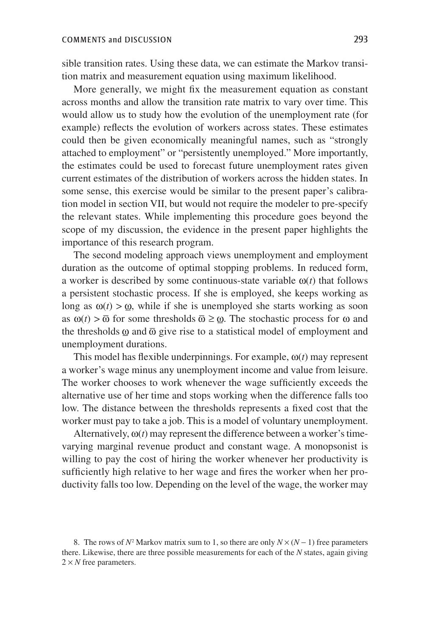sible transition rates. Using these data, we can estimate the Markov transition matrix and measurement equation using maximum likelihood.

More generally, we might fix the measurement equation as constant across months and allow the transition rate matrix to vary over time. This would allow us to study how the evolution of the unemployment rate (for example) reflects the evolution of workers across states. These estimates could then be given economically meaningful names, such as "strongly attached to employment" or "persistently unemployed." More importantly, the estimates could be used to forecast future unemployment rates given current estimates of the distribution of workers across the hidden states. In some sense, this exercise would be similar to the present paper's calibration model in section VII, but would not require the modeler to pre-specify the relevant states. While implementing this procedure goes beyond the scope of my discussion, the evidence in the present paper highlights the importance of this research program.

The second modeling approach views unemployment and employment duration as the outcome of optimal stopping problems. In reduced form, a worker is described by some continuous-state variable  $\omega(t)$  that follows a persistent stochastic process. If she is employed, she keeps working as long as  $\omega(t) > \omega$ , while if she is unemployed she starts working as soon as  $\omega(t) > \overline{\omega}$  for some thresholds  $\overline{\omega} \geq \underline{\omega}$ . The stochastic process for  $\omega$  and the thresholds  $\omega$  and  $\overline{\omega}$  give rise to a statistical model of employment and unemployment durations.

This model has flexible underpinnings. For example,  $\omega(t)$  may represent a worker's wage minus any unemployment income and value from leisure. The worker chooses to work whenever the wage sufficiently exceeds the alternative use of her time and stops working when the difference falls too low. The distance between the thresholds represents a fixed cost that the worker must pay to take a job. This is a model of voluntary unemployment.

Alternatively,  $\omega(t)$  may represent the difference between a worker's timevarying marginal revenue product and constant wage. A monopsonist is willing to pay the cost of hiring the worker whenever her productivity is sufficiently high relative to her wage and fires the worker when her productivity falls too low. Depending on the level of the wage, the worker may

<sup>8.</sup> The rows of  $N^2$  Markov matrix sum to 1, so there are only  $N \times (N - 1)$  free parameters there. Likewise, there are three possible measurements for each of the *N* states, again giving  $2 \times N$  free parameters.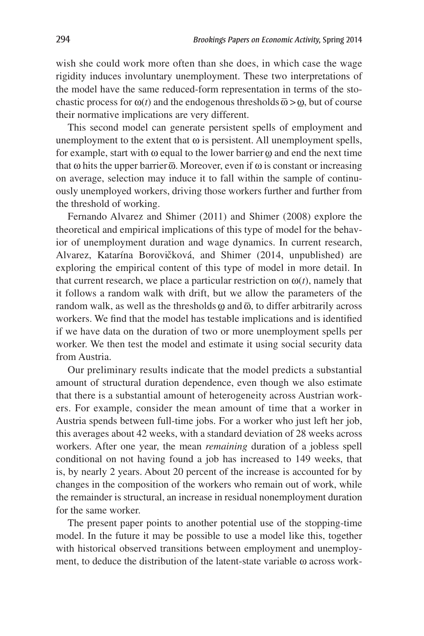wish she could work more often than she does, in which case the wage rigidity induces involuntary unemployment. These two interpretations of the model have the same reduced-form representation in terms of the stochastic process for  $\omega(t)$  and the endogenous thresholds  $\overline{\omega} > \omega$ , but of course their normative implications are very different.

This second model can generate persistent spells of employment and unemployment to the extent that  $\omega$  is persistent. All unemployment spells, for example, start with  $\omega$  equal to the lower barrier  $\omega$  and end the next time that  $\omega$  hits the upper barrier  $\overline{\omega}$ . Moreover, even if  $\omega$  is constant or increasing on average, selection may induce it to fall within the sample of continuously unemployed workers, driving those workers further and further from the threshold of working.

Fernando Alvarez and Shimer (2011) and Shimer (2008) explore the theoretical and empirical implications of this type of model for the behavior of unemployment duration and wage dynamics. In current research, Alvarez, Katarína Borovičková, and Shimer (2014, unpublished) are exploring the empirical content of this type of model in more detail. In that current research, we place a particular restriction on  $\omega(t)$ , namely that it follows a random walk with drift, but we allow the parameters of the random walk, as well as the thresholds  $\omega$  and  $\overline{\omega}$ , to differ arbitrarily across workers. We find that the model has testable implications and is identified if we have data on the duration of two or more unemployment spells per worker. We then test the model and estimate it using social security data from Austria.

Our preliminary results indicate that the model predicts a substantial amount of structural duration dependence, even though we also estimate that there is a substantial amount of heterogeneity across Austrian workers. For example, consider the mean amount of time that a worker in Austria spends between full-time jobs. For a worker who just left her job, this averages about 42 weeks, with a standard deviation of 28 weeks across workers. After one year, the mean *remaining* duration of a jobless spell conditional on not having found a job has increased to 149 weeks, that is, by nearly 2 years. About 20 percent of the increase is accounted for by changes in the composition of the workers who remain out of work, while the remainder is structural, an increase in residual nonemployment duration for the same worker.

The present paper points to another potential use of the stopping-time model. In the future it may be possible to use a model like this, together with historical observed transitions between employment and unemployment, to deduce the distribution of the latent-state variable  $\omega$  across work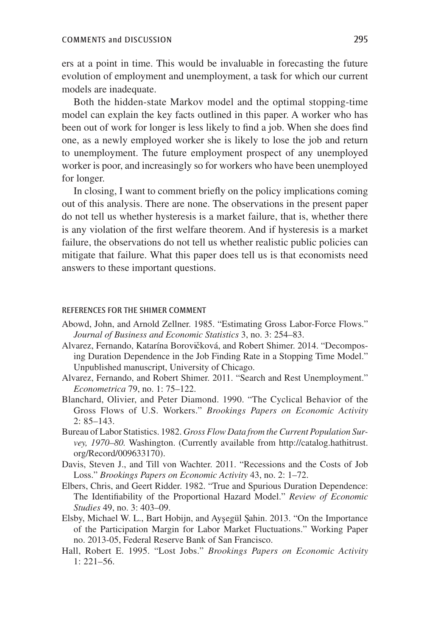ers at a point in time. This would be invaluable in forecasting the future evolution of employment and unemployment, a task for which our current models are inadequate.

Both the hidden-state Markov model and the optimal stopping-time model can explain the key facts outlined in this paper. A worker who has been out of work for longer is less likely to find a job. When she does find one, as a newly employed worker she is likely to lose the job and return to unemployment. The future employment prospect of any unemployed worker is poor, and increasingly so for workers who have been unemployed for longer.

In closing, I want to comment briefly on the policy implications coming out of this analysis. There are none. The observations in the present paper do not tell us whether hysteresis is a market failure, that is, whether there is any violation of the first welfare theorem. And if hysteresis is a market failure, the observations do not tell us whether realistic public policies can mitigate that failure. What this paper does tell us is that economists need answers to these important questions.

### References for the Shimer comment

- Abowd, John, and Arnold Zellner. 1985. "Estimating Gross Labor-Force Flows." *Journal of Business and Economic Statistics* 3, no. 3: 254–83.
- Alvarez, Fernando, Katarína Borovičková, and Robert Shimer. 2014. "Decomposing Duration Dependence in the Job Finding Rate in a Stopping Time Model." Unpublished manuscript, University of Chicago.
- Alvarez, Fernando, and Robert Shimer. 2011. "Search and Rest Unemployment." *Econometrica* 79, no. 1: 75–122.
- Blanchard, Olivier, and Peter Diamond. 1990. "The Cyclical Behavior of the Gross Flows of U.S. Workers." *Brookings Papers on Economic Activity*  $2: 85 - 143.$
- Bureau of Labor Statistics. 1982. *Gross Flow Data from the Current Population Survey, 1970–80.* Washington. (Currently available from http://catalog.hathitrust. org/Record/009633170).
- Davis, Steven J., and Till von Wachter. 2011. "Recessions and the Costs of Job Loss." *Brookings Papers on Economic Activity* 43, no. 2: 1–72.
- Elbers, Chris, and Geert Ridder. 1982. "True and Spurious Duration Dependence: The Identifiability of the Proportional Hazard Model." *Review of Economic Studies* 49, no. 3: 403–09.
- Elsby, Michael W. L., Bart Hobijn, and Aysegül Sahin. 2013. "On the Importance of the Participation Margin for Labor Market Fluctuations." Working Paper no. 2013-05, Federal Reserve Bank of San Francisco.
- Hall, Robert E. 1995. "Lost Jobs." *Brookings Papers on Economic Activity* 1: 221–56.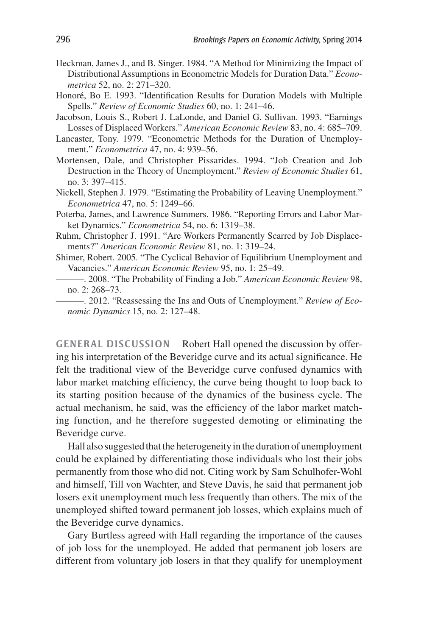- Heckman, James J., and B. Singer. 1984. "A Method for Minimizing the Impact of Distributional Assumptions in Econometric Models for Duration Data." *Econometrica* 52, no. 2: 271–320.
- Honoré, Bo E. 1993. "Identification Results for Duration Models with Multiple Spells." *Review of Economic Studies* 60, no. 1: 241–46.
- Jacobson, Louis S., Robert J. LaLonde, and Daniel G. Sullivan. 1993. "Earnings Losses of Displaced Workers." *American Economic Review* 83, no. 4: 685–709.
- Lancaster, Tony. 1979. "Econometric Methods for the Duration of Unemployment." *Econometrica* 47, no. 4: 939–56.
- Mortensen, Dale, and Christopher Pissarides. 1994. "Job Creation and Job Destruction in the Theory of Unemployment." *Review of Economic Studies* 61, no. 3: 397–415.
- Nickell, Stephen J. 1979. "Estimating the Probability of Leaving Unemployment." *Econometrica* 47, no. 5: 1249–66.
- Poterba, James, and Lawrence Summers. 1986. "Reporting Errors and Labor Market Dynamics." *Econometrica* 54, no. 6: 1319–38.
- Ruhm, Christopher J. 1991. "Are Workers Permanently Scarred by Job Displacements?" *American Economic Review* 81, no. 1: 319–24.
- Shimer, Robert. 2005. "The Cyclical Behavior of Equilibrium Unemployment and Vacancies." *American Economic Review* 95, no. 1: 25–49.
- ———. 2008. "The Probability of Finding a Job." *American Economic Review* 98, no. 2: 268–73.
	- ———. 2012. "Reassessing the Ins and Outs of Unemployment." *Review of Economic Dynamics* 15, no. 2: 127–48.

**GENERAL DISCUSSION** Robert Hall opened the discussion by offering his interpretation of the Beveridge curve and its actual significance. He felt the traditional view of the Beveridge curve confused dynamics with labor market matching efficiency, the curve being thought to loop back to its starting position because of the dynamics of the business cycle. The actual mechanism, he said, was the efficiency of the labor market matching function, and he therefore suggested demoting or eliminating the Beveridge curve.

Hall also suggested that the heterogeneity in the duration of unemployment could be explained by differentiating those individuals who lost their jobs permanently from those who did not. Citing work by Sam Schulhofer-Wohl and himself, Till von Wachter, and Steve Davis, he said that permanent job losers exit unemployment much less frequently than others. The mix of the unemployed shifted toward permanent job losses, which explains much of the Beveridge curve dynamics.

Gary Burtless agreed with Hall regarding the importance of the causes of job loss for the unemployed. He added that permanent job losers are different from voluntary job losers in that they qualify for unemployment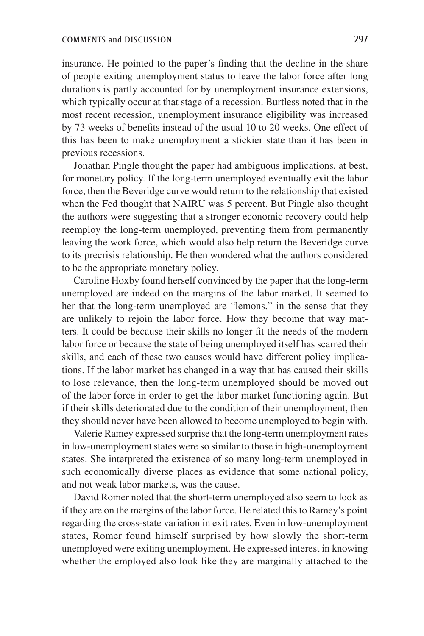insurance. He pointed to the paper's finding that the decline in the share of people exiting unemployment status to leave the labor force after long durations is partly accounted for by unemployment insurance extensions, which typically occur at that stage of a recession. Burtless noted that in the most recent recession, unemployment insurance eligibility was increased by 73 weeks of benefits instead of the usual 10 to 20 weeks. One effect of this has been to make unemployment a stickier state than it has been in previous recessions.

Jonathan Pingle thought the paper had ambiguous implications, at best, for monetary policy. If the long-term unemployed eventually exit the labor force, then the Beveridge curve would return to the relationship that existed when the Fed thought that NAIRU was 5 percent. But Pingle also thought the authors were suggesting that a stronger economic recovery could help reemploy the long-term unemployed, preventing them from permanently leaving the work force, which would also help return the Beveridge curve to its precrisis relationship. He then wondered what the authors considered to be the appropriate monetary policy.

Caroline Hoxby found herself convinced by the paper that the long-term unemployed are indeed on the margins of the labor market. It seemed to her that the long-term unemployed are "lemons," in the sense that they are unlikely to rejoin the labor force. How they become that way matters. It could be because their skills no longer fit the needs of the modern labor force or because the state of being unemployed itself has scarred their skills, and each of these two causes would have different policy implications. If the labor market has changed in a way that has caused their skills to lose relevance, then the long-term unemployed should be moved out of the labor force in order to get the labor market functioning again. But if their skills deteriorated due to the condition of their unemployment, then they should never have been allowed to become unemployed to begin with.

Valerie Ramey expressed surprise that the long-term unemployment rates in low-unemployment states were so similar to those in high-unemployment states. She interpreted the existence of so many long-term unemployed in such economically diverse places as evidence that some national policy, and not weak labor markets, was the cause.

David Romer noted that the short-term unemployed also seem to look as if they are on the margins of the labor force. He related this to Ramey's point regarding the cross-state variation in exit rates. Even in low-unemployment states, Romer found himself surprised by how slowly the short-term unemployed were exiting unemployment. He expressed interest in knowing whether the employed also look like they are marginally attached to the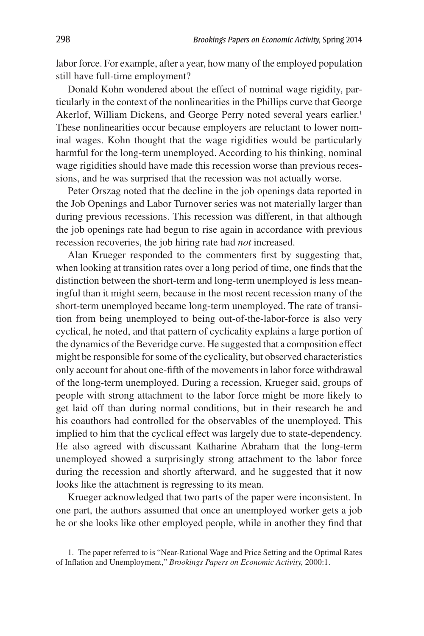labor force. For example, after a year, how many of the employed population still have full-time employment?

Donald Kohn wondered about the effect of nominal wage rigidity, particularly in the context of the nonlinearities in the Phillips curve that George Akerlof, William Dickens, and George Perry noted several years earlier.<sup>1</sup> These nonlinearities occur because employers are reluctant to lower nominal wages. Kohn thought that the wage rigidities would be particularly harmful for the long-term unemployed. According to his thinking, nominal wage rigidities should have made this recession worse than previous recessions, and he was surprised that the recession was not actually worse.

Peter Orszag noted that the decline in the job openings data reported in the Job Openings and Labor Turnover series was not materially larger than during previous recessions. This recession was different, in that although the job openings rate had begun to rise again in accordance with previous recession recoveries, the job hiring rate had *not* increased.

Alan Krueger responded to the commenters first by suggesting that, when looking at transition rates over a long period of time, one finds that the distinction between the short-term and long-term unemployed is less meaningful than it might seem, because in the most recent recession many of the short-term unemployed became long-term unemployed. The rate of transition from being unemployed to being out-of-the-labor-force is also very cyclical, he noted, and that pattern of cyclicality explains a large portion of the dynamics of the Beveridge curve. He suggested that a composition effect might be responsible for some of the cyclicality, but observed characteristics only account for about one-fifth of the movements in labor force withdrawal of the long-term unemployed. During a recession, Krueger said, groups of people with strong attachment to the labor force might be more likely to get laid off than during normal conditions, but in their research he and his coauthors had controlled for the observables of the unemployed. This implied to him that the cyclical effect was largely due to state-dependency. He also agreed with discussant Katharine Abraham that the long-term unemployed showed a surprisingly strong attachment to the labor force during the recession and shortly afterward, and he suggested that it now looks like the attachment is regressing to its mean.

Krueger acknowledged that two parts of the paper were inconsistent. In one part, the authors assumed that once an unemployed worker gets a job he or she looks like other employed people, while in another they find that

1. The paper referred to is "Near-Rational Wage and Price Setting and the Optimal Rates of Inflation and Unemployment," *Brookings Papers on Economic Activity,* 2000:1.